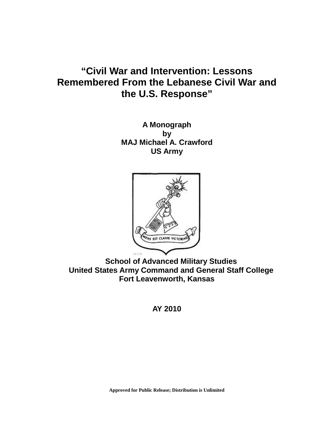# **"Civil War and Intervention: Lessons Remembered From the Lebanese Civil War and the U.S. Response"**

**A Monograph by MAJ Michael A. Crawford US Army**



 **School of Advanced Military Studies United States Army Command and General Staff College Fort Leavenworth, Kansas**

**AY 2010**

**Approved for Public Release; Distribution is Unlimited**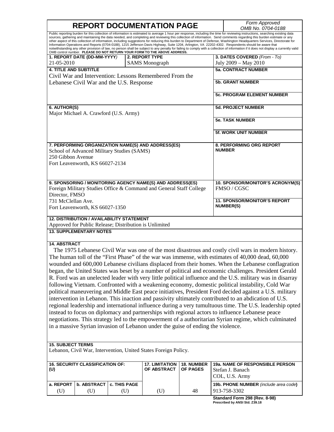## **REPORT DOCUMENTATION PAGE** *Form Approved*

*OMB No. 0704-0188* Public reporting burden for this collection of information is estimated to average 1 hour per response, including the time for reviewing instructions, searching existing data sources, gathering and maintaining the data needed, and completing and reviewing this collection of information. Send comments regarding this burden estimate or any other aspect of this collection of information, including suggestions for reducing this burden to Department of Defense, Washington Headquarters Services, Directorate for<br>Information Operations and Reports (0704-0188), 121 notwithstanding any other provision of law, no person shall be subject to any penalty for failing to comply with a collection of information if it does not display a currently valid<br>OMB control number. PLEASE DO NOT RETURN **1. REPORT DATE (DD-MM-YYYY***)* 21-05-2010 **2. REPORT TYPE** SAMS Monograph **3. DATES COVERED** *(From - To)* July 2009 – May 2010 **4. TITLE AND SUBTITLE** Civil War and Intervention: Lessons Remembered From the Lebanese Civil War and the U.S. Response **5a. CONTRACT NUMBER 5b. GRANT NUMBER 5c. PROGRAM ELEMENT NUMBER 6. AUTHOR(S)** Major Michael A. Crawford (U.S. Army) **5d. PROJECT NUMBER 5e. TASK NUMBER 5f. WORK UNIT NUMBER 7. PERFORMING ORGANIZATION NAME(S) AND ADDRESS(ES)** School of Advanced Military Studies (SAMS) 250 Gibbon Avenue Fort Leavenworth, KS 66027-2134 **8. PERFORMING ORG REPORT NUMBER 9. SPONSORING / MONITORING AGENCY NAME(S) AND ADDRESS(ES)** Foreign Military Studies Office & Command and General Staff College Director, FMSO 731 McClellan Ave. Fort Leavenworth, KS 66027-1350 **10. SPONSOR/MONITOR'S ACRONYM(S)** FMSO / CGSC **11. SPONSOR/MONITOR'S REPORT NUMBER(S) 12. DISTRIBUTION / AVAILABILITY STATEMENT** Approved for Public Release; Distribution is Unlimited **13. SUPPLEMENTARY NOTES 14. ABSTRACT** The 1975 Lebanese Civil War was one of the most disastrous and costly civil wars in modern history. The human toll of the "First Phase" of the war was immense, with estimates of 40,000 dead, 60,000 wounded and 600,000 Lebanese civilians displaced from their homes. When the Lebanese conflagration began, the United States was beset by a number of political and economic challenges. President Gerald R. Ford was an unelected leader with very little political influence and the U.S. military was in disarray following Vietnam. Confronted with a weakening economy, domestic political instability, Cold War political maneuvering and Middle East peace initiatives, President Ford decided against a U.S. military intervention in Lebanon. This inaction and passivity ultimately contributed to an abdication of U.S. regional leadership and international influence during a very tumultuous time. The U.S. leadership opted instead to focus on diplomacy and partnerships with regional actors to influence Lebanese peace negotiations. This strategy led to the empowerment of a authoritarian Syrian regime, which culminated in a massive Syrian invasion of Lebanon under the guise of ending the violence. **15. SUBJECT TERMS** Lebanon, Civil War, Intervention, United States Foreign Policy. **16. SECURITY CLASSIFICATION OF: (U) 17. LIMITATION OF ABSTRACT 18. NUMBER OF PAGES 19a. NAME OF RESPONSIBLE PERSON** Stefan J. Banach COL, U.S. Army **a. REPORT b. ABSTRACT c. THIS PAGE 19b. PHONE NUMBER** *(include area code)* **19b. PHONE NUMBER** *(include area code)* 

(U)  $|$  (U)  $|$  (U)  $|$  (U)  $|$  48  $|$  913-758-3302

**Standard Form 298 (Rev. 8-98) Prescribed by ANSI Std. Z39.18**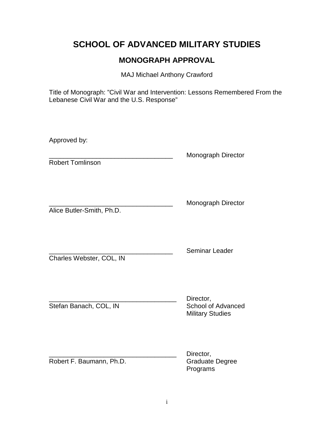### **SCHOOL OF ADVANCED MILITARY STUDIES**

### **MONOGRAPH APPROVAL**

MAJ Michael Anthony Crawford

Title of Monograph: "Civil War and Intervention: Lessons Remembered From the Lebanese Civil War and the U.S. Response"

Approved by:

Robert Tomlinson

Monograph Director

Alice Butler-Smith, Ph.D.

\_\_\_\_\_\_\_\_\_\_\_\_\_\_\_\_\_\_\_\_\_\_\_\_\_\_\_\_\_\_\_\_\_\_ Monograph Director

Charles Webster, COL, IN

Seminar Leader

Stefan Banach, COL, IN School of Advanced

Director, Military Studies

Robert F. Baumann, Ph.D. Graduate Degree

Director, Programs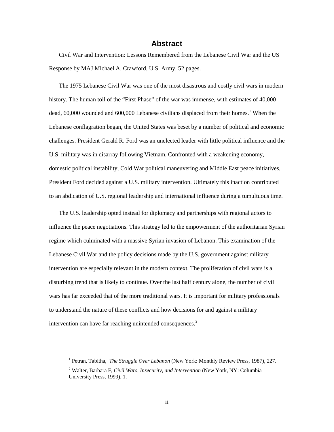#### **Abstract**

Civil War and Intervention: Lessons Remembered from the Lebanese Civil War and the US Response by MAJ Michael A. Crawford, U.S. Army, 52 pages.

The 1975 Lebanese Civil War was one of the most disastrous and costly civil wars in modern history. The human toll of the "First Phase" of the war was immense, with estimates of 40,000 dead, 60,000 wounded and 600,000 Lebanese civilians displaced from their homes.<sup>[1](#page-4-0)</sup> When the Lebanese conflagration began, the United States was beset by a number of political and economic challenges. President Gerald R. Ford was an unelected leader with little political influence and the U.S. military was in disarray following Vietnam. Confronted with a weakening economy, domestic political instability, Cold War political maneuvering and Middle East peace initiatives, President Ford decided against a U.S. military intervention. Ultimately this inaction contributed to an abdication of U.S. regional leadership and international influence during a tumultuous time.

The U.S. leadership opted instead for diplomacy and partnerships with regional actors to influence the peace negotiations. This strategy led to the empowerment of the authoritarian Syrian regime which culminated with a massive Syrian invasion of Lebanon. This examination of the Lebanese Civil War and the policy decisions made by the U.S. government against military intervention are especially relevant in the modern context. The proliferation of civil wars is a disturbing trend that is likely to continue. Over the last half century alone, the number of civil wars has far exceeded that of the more traditional wars. It is important for military professionals to understand the nature of these conflicts and how decisions for and against a military intervention can have far reaching unintended consequences.<sup>[2](#page-4-1)</sup>

<sup>1</sup> Petran, Tabitha, *The Struggle Over Lebanon* (New York: Monthly Review Press, 1987), 227.

<span id="page-4-1"></span><span id="page-4-0"></span><sup>2</sup> Walter, Barbara F, *Civil Wars, Insecurity, and Intervention* (New York, NY: Columbia University Press, 1999), 1.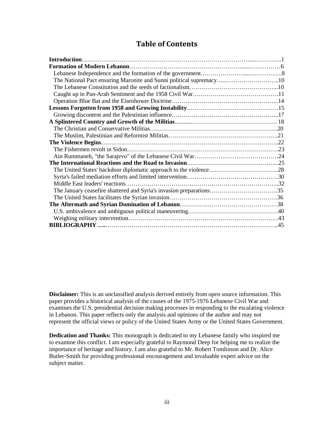#### **Table of Contents**

| The National Pact ensuring Maronite and Sunni political supremacy10 |  |
|---------------------------------------------------------------------|--|
|                                                                     |  |
|                                                                     |  |
|                                                                     |  |
|                                                                     |  |
|                                                                     |  |
|                                                                     |  |
|                                                                     |  |
|                                                                     |  |
|                                                                     |  |
|                                                                     |  |
|                                                                     |  |
|                                                                     |  |
|                                                                     |  |
|                                                                     |  |
|                                                                     |  |
| The January ceasefire shattered and Syria's invasion preparations35 |  |
|                                                                     |  |
|                                                                     |  |
|                                                                     |  |
|                                                                     |  |
|                                                                     |  |

**Disclaimer:** This is an unclassified analysis derived entirely from open source information. This paper provides a historical analysis of the causes of the 1975-1976 Lebanese Civil War and examines the U.S. presidential decision making processes in responding to the escalating violence in Lebanon. This paper reflects only the analysis and opinions of the author and may not represent the official views or policy of the United States Army or the United States Government.

**Dedication and Thanks:** This monograph is dedicated to my Lebanese family who inspired me to examine this conflict. I am especially grateful to Raymond Deep for helping me to realize the importance of heritage and history. I am also grateful to Mr. Robert Tomlinson and Dr. Alice Butler-Smith for providing professional encouragement and invaluable expert advice on the subject matter.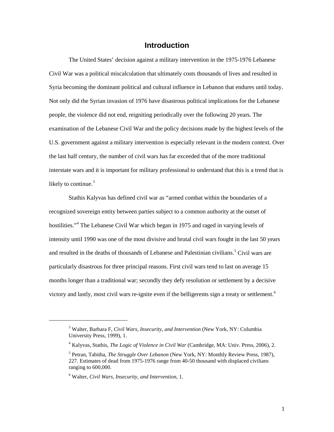#### **Introduction**

The United States' decision against a military intervention in the 1975-1976 Lebanese Civil War was a political miscalculation that ultimately costs thousands of lives and resulted in Syria becoming the dominant political and cultural influence in Lebanon that endures until today. Not only did the Syrian invasion of 1976 have disastrous political implications for the Lebanese people, the violence did not end, reigniting periodically over the following 20 years. The examination of the Lebanese Civil War and the policy decisions made by the highest levels of the U.S. government against a military intervention is especially relevant in the modern context. Over the last half century, the number of civil wars has far exceeded that of the more traditional interstate wars and it is important for military professional to understand that this is a trend that is likely to continue. $3$ 

Stathis Kalyvas has defined civil war as "armed combat within the boundaries of a recognized sovereign entity between parties subject to a common authority at the outset of hostilities."<sup>[4](#page-6-1)</sup> The Lebanese Civil War which began in 1975 and raged in varying levels of intensity until 1990 was one of the most divisive and brutal civil wars fought in the last 50 years and resulted in the deaths of thousands of Lebanese and Palestinian civilians.<sup>[5](#page-6-2)</sup> Civil wars are particularly disastrous for three principal reasons. First civil wars tend to last on average 15 months longer than a traditional war; secondly they defy resolution or settlement by a decisive victory and lastly, most civil wars re-ignite even if the belligerents sign a treaty or settlement.<sup>[6](#page-6-3)</sup>

<span id="page-6-0"></span><sup>3</sup> Walter, Barbara F, *Civil Wars, Insecurity, and Intervention* (New York, NY: Columbia University Press, 1999), 1.

<span id="page-6-1"></span><sup>4</sup> Kalyvas, Stathis, *The Logic of Violence in Civil War* (Cambridge, MA: Univ. Press, 2006), 2.

<span id="page-6-2"></span><sup>5</sup> Petran, Tabitha, *The Struggle Over Lebanon* (New York, NY: Monthly Review Press, 1987), 227. Estimates of dead from 1975-1976 range from 40-50 thousand with displaced civilians ranging to 600,000.

<span id="page-6-3"></span><sup>6</sup> Walter, *Civil Wars, Insecurity, and Intervention*, 1.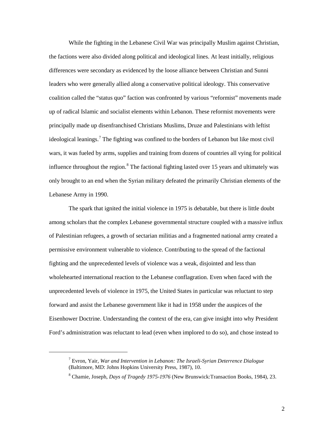While the fighting in the Lebanese Civil War was principally Muslim against Christian, the factions were also divided along political and ideological lines. At least initially, religious differences were secondary as evidenced by the loose alliance between Christian and Sunni leaders who were generally allied along a conservative political ideology. This conservative coalition called the "status quo" faction was confronted by various "reformist" movements made up of radical Islamic and socialist elements within Lebanon. These reformist movements were principally made up disenfranchised Christians Muslims, Druze and Palestinians with leftist ideological leanings.<sup>[7](#page-7-0)</sup> The fighting was confined to the borders of Lebanon but like most civil wars, it was fueled by arms, supplies and training from dozens of countries all vying for political influence throughout the region.<sup>[8](#page-7-1)</sup> The factional fighting lasted over 15 years and ultimately was only brought to an end when the Syrian military defeated the primarily Christian elements of the Lebanese Army in 1990.

The spark that ignited the initial violence in 1975 is debatable, but there is little doubt among scholars that the complex Lebanese governmental structure coupled with a massive influx of Palestinian refugees, a growth of sectarian militias and a fragmented national army created a permissive environment vulnerable to violence. Contributing to the spread of the factional fighting and the unprecedented levels of violence was a weak, disjointed and less than wholehearted international reaction to the Lebanese conflagration. Even when faced with the unprecedented levels of violence in 1975, the United States in particular was reluctant to step forward and assist the Lebanese government like it had in 1958 under the auspices of the Eisenhower Doctrine. Understanding the context of the era, can give insight into why President Ford's administration was reluctant to lead (even when implored to do so), and chose instead to

<span id="page-7-0"></span><sup>7</sup> Evron, Yair, *War and Intervention in Lebanon: The Israeli-Syrian Deterrence Dialogue* (Baltimore, MD: Johns Hopkins University Press, 1987), 10.

<span id="page-7-1"></span><sup>8</sup> Chamie, Joseph, *Days of Tragedy 1975-1976* (New Brunswick:Transaction Books, 1984), 23.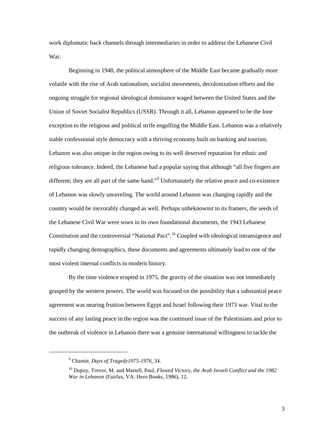work diplomatic back channels through intermediaries in order to address the Lebanese Civil War.

Beginning in 1948, the political atmosphere of the Middle East became gradually more volatile with the rise of Arab nationalism, socialist movements, decolonization efforts and the ongoing struggle for regional ideological dominance waged between the United States and the Union of Soviet Socialist Republics (USSR). Through it all, Lebanon appeared to be the lone exception to the religious and political strife engulfing the Middle East. Lebanon was a relatively stable confessional style democracy with a thriving economy built on banking and tourism. Lebanon was also unique in the region owing to its well deserved reputation for ethnic and religious tolerance. Indeed, the Lebanese had a popular saying that although "all five fingers are different; they are all part of the same hand."<sup>[9](#page-8-0)</sup> Unfortunately the relative peace and co-existence of Lebanon was slowly unraveling. The world around Lebanon was changing rapidly and the country would be inexorably changed as well. Perhaps unbeknownst to its framers, the seeds of the Lebanese Civil War were sown in its own foundational documents, the 1943 Lebanese Constitution and the controversial "National Pact".<sup>[10](#page-8-1)</sup> Coupled with ideological intransigence and rapidly changing demographics, these documents and agreements ultimately lead to one of the most violent internal conflicts in modern history.

By the time violence erupted in 1975, the gravity of the situation was not immediately grasped by the western powers. The world was focused on the possibility that a substantial peace agreement was nearing fruition between Egypt and Israel following their 1973 war. Vital to the success of any lasting peace in the region was the continued issue of the Palestinians and prior to the outbreak of violence in Lebanon there was a genuine international willingness to tackle the

<span id="page-8-0"></span><sup>9</sup> Chamie, *Days of Tragedy1975-1976,* 34.

<span id="page-8-1"></span><sup>10</sup> Dupuy, Trevor, M. and Martell, Paul, *Flawed Victory, the Arab Israeli Conflict and the 1982 War in Lebanon* (Fairfax, VA: Hero Books, 1986), 12.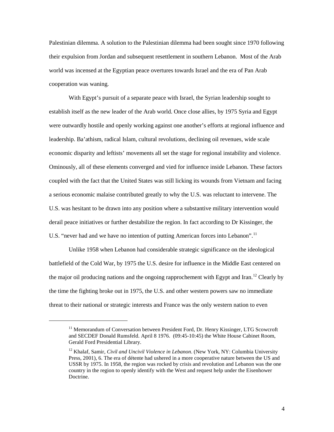Palestinian dilemma. A solution to the Palestinian dilemma had been sought since 1970 following their expulsion from Jordan and subsequent resettlement in southern Lebanon. Most of the Arab world was incensed at the Egyptian peace overtures towards Israel and the era of Pan Arab cooperation was waning.

With Egypt's pursuit of a separate peace with Israel, the Syrian leadership sought to establish itself as the new leader of the Arab world. Once close allies, by 1975 Syria and Egypt were outwardly hostile and openly working against one another's efforts at regional influence and leadership. Ba'athism, radical Islam, cultural revolutions, declining oil revenues, wide scale economic disparity and leftists' movements all set the stage for regional instability and violence. Ominously, all of these elements converged and vied for influence inside Lebanon. These factors coupled with the fact that the United States was still licking its wounds from Vietnam and facing a serious economic malaise contributed greatly to why the U.S. was reluctant to intervene. The U.S. was hesitant to be drawn into any position where a substantive military intervention would derail peace initiatives or further destabilize the region. In fact according to Dr Kissinger, the U.S. "never had and we have no intention of putting American forces into Lebanon".<sup>[11](#page-9-0)</sup>

Unlike 1958 when Lebanon had considerable strategic significance on the ideological battlefield of the Cold War, by 1975 the U.S. desire for influence in the Middle East centered on the major oil producing nations and the ongoing rapprochement with Egypt and Iran.<sup>[12](#page-9-1)</sup> Clearly by the time the fighting broke out in 1975, the U.S. and other western powers saw no immediate threat to their national or strategic interests and France was the only western nation to even

<span id="page-9-0"></span><sup>&</sup>lt;sup>11</sup> Memorandum of Conversation between President Ford, Dr. Henry Kissinger, LTG Scowcroft and SECDEF Donald Rumsfeld. April 8 1976. (09:45-10:45) the White House Cabinet Room, Gerald Ford Presidential Library.

<span id="page-9-1"></span><sup>12</sup> Khalaf, Samir, *Civil and Uncivil Violence in Lebanon*. (New York, NY: Columbia University Press, 2001), 6. The era of détente had ushered in a more cooperative nature between the US and USSR by 1975. In 1958, the region was rocked by crisis and revolution and Lebanon was the one country in the region to openly identify with the West and request help under the Eisenhower Doctrine.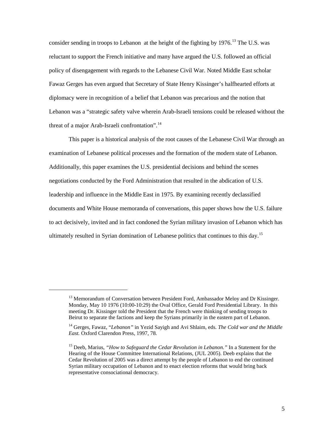consider sending in troops to Lebanon at the height of the fighting by 1976.<sup>[13](#page-10-0)</sup> The U.S. was reluctant to support the French initiative and many have argued the U.S. followed an official policy of disengagement with regards to the Lebanese Civil War. Noted Middle East scholar Fawaz Gerges has even argued that Secretary of State Henry Kissinger's halfhearted efforts at diplomacy were in recognition of a belief that Lebanon was precarious and the notion that Lebanon was a "strategic safety valve wherein Arab-Israeli tensions could be released without the threat of a major Arab-Israeli confrontation".<sup>[14](#page-10-1)</sup>

This paper is a historical analysis of the root causes of the Lebanese Civil War through an examination of Lebanese political processes and the formation of the modern state of Lebanon. Additionally, this paper examines the U.S. presidential decisions and behind the scenes negotiations conducted by the Ford Administration that resulted in the abdication of U.S. leadership and influence in the Middle East in 1975. By examining recently declassified documents and White House memoranda of conversations, this paper shows how the U.S. failure to act decisively, invited and in fact condoned the Syrian military invasion of Lebanon which has ultimately resulted in Syrian domination of Lebanese politics that continues to this day.<sup>[15](#page-10-2)</sup>

<span id="page-10-0"></span><sup>&</sup>lt;sup>13</sup> Memorandum of Conversation between President Ford, Ambassador Meloy and Dr Kissinger. Monday, May 10 1976 (10:00-10:29) the Oval Office, Gerald Ford Presidential Library. In this meeting Dr. Kissinger told the President that the French were thinking of sending troops to Beirut to separate the factions and keep the Syrians primarily in the eastern part of Lebanon.

<span id="page-10-1"></span><sup>14</sup> Gerges, Fawaz, "*Lebanon"* in Yezid Sayigh and Avi Shlaim, eds. *The Cold war and the Middle East.* Oxford Clarendon Press, 1997, 78.

<span id="page-10-2"></span><sup>15</sup> Deeb, Marius, *"How to Safeguard the Cedar Revolution in Lebanon."* In a Statement for the Hearing of the House Committee International Relations, (JUL 2005). Deeb explains that the Cedar Revolution of 2005 was a direct attempt by the people of Lebanon to end the continued Syrian military occupation of Lebanon and to enact election reforms that would bring back representative consociational democracy.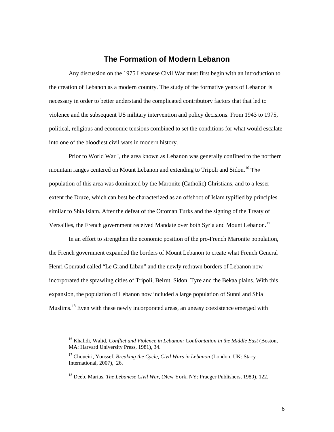#### **The Formation of Modern Lebanon**

Any discussion on the 1975 Lebanese Civil War must first begin with an introduction to the creation of Lebanon as a modern country. The study of the formative years of Lebanon is necessary in order to better understand the complicated contributory factors that that led to violence and the subsequent US military intervention and policy decisions. From 1943 to 1975, political, religious and economic tensions combined to set the conditions for what would escalate into one of the bloodiest civil wars in modern history.

Prior to World War I, the area known as Lebanon was generally confined to the northern mountain ranges centered on Mount Lebanon and extending to Tripoli and Sidon.<sup>[16](#page-11-0)</sup> The population of this area was dominated by the Maronite (Catholic) Christians, and to a lesser extent the Druze, which can best be characterized as an offshoot of Islam typified by principles similar to Shia Islam. After the defeat of the Ottoman Turks and the signing of the Treaty of Versailles, the French government received Mandate over both Syria and Mount Lebanon.<sup>[17](#page-11-1)</sup>

In an effort to strengthen the economic position of the pro-French Maronite population, the French government expanded the borders of Mount Lebanon to create what French General Henri Gouraud called "Le Grand Liban" and the newly redrawn borders of Lebanon now incorporated the sprawling cities of Tripoli, Beirut, Sidon, Tyre and the Bekaa plains. With this expansion, the population of Lebanon now included a large population of Sunni and Shia Muslims.<sup>[18](#page-11-2)</sup> Even with these newly incorporated areas, an uneasy coexistence emerged with

<span id="page-11-0"></span><sup>16</sup> Khalidi, Walid, *Conflict and Violence in Lebanon: Confrontation in the Middle East* (Boston, MA: Harvard University Press, 1981), 34.

<span id="page-11-1"></span><sup>&</sup>lt;sup>17</sup> Choueiri, Youssef, *Breaking the Cycle, Civil Wars in Lebanon* (London, UK: Stacy International, 2007), 26.

<span id="page-11-2"></span><sup>18</sup> Deeb, Marius, *The Lebanese Civil War,* (New York, NY: Praeger Publishers, 1980), 122.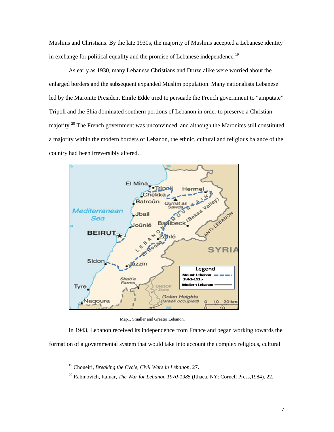Muslims and Christians. By the late 1930s, the majority of Muslims accepted a Lebanese identity in exchange for political equality and the promise of Lebanese independence.<sup>[19](#page-12-0)</sup>

As early as 1930, many Lebanese Christians and Druze alike were worried about the enlarged borders and the subsequent expanded Muslim population. Many nationalists Lebanese led by the Maronite President Emile Edde tried to persuade the French government to "amputate" Tripoli and the Shia dominated southern portions of Lebanon in order to preserve a Christian majority.<sup>20</sup> The French government was unconvinced, and although the Maronites still constituted a majority within the modern borders of Lebanon, the ethnic, cultural and religious balance of the country had been irreversibly altered.



Map1. Smaller and Greater Lebanon.

<span id="page-12-1"></span><span id="page-12-0"></span>In 1943, Lebanon received its independence from France and began working towards the formation of a governmental system that would take into account the complex religious, cultural

<sup>19</sup> Choueiri, *Breaking the Cycle, Civil Wars in Lebanon*, 27.

<sup>20</sup> Rabinovich, Itamar, *The War for Lebanon 1970-1985* (Ithaca, NY: Cornell Press,1984), 22.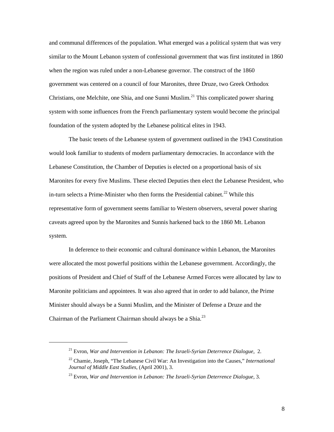and communal differences of the population. What emerged was a political system that was very similar to the Mount Lebanon system of confessional government that was first instituted in 1860 when the region was ruled under a non-Lebanese governor. The construct of the 1860 government was centered on a council of four Maronites, three Druze, two Greek Orthodox Christians, one Melchite, one Shia, and one Sunni Muslim.<sup>[21](#page-13-0)</sup> This complicated power sharing system with some influences from the French parliamentary system would become the principal foundation of the system adopted by the Lebanese political elites in 1943.

The basic tenets of the Lebanese system of government outlined in the 1943 Constitution would look familiar to students of modern parliamentary democracies. In accordance with the Lebanese Constitution, the Chamber of Deputies is elected on a proportional basis of six Maronites for every five Muslims. These elected Deputies then elect the Lebanese President, who in-turn selects a Prime-Minister who then forms the Presidential cabinet.<sup>[22](#page-13-1)</sup> While this representative form of government seems familiar to Western observers, several power sharing caveats agreed upon by the Maronites and Sunnis harkened back to the 1860 Mt. Lebanon system.

In deference to their economic and cultural dominance within Lebanon, the Maronites were allocated the most powerful positions within the Lebanese government. Accordingly, the positions of President and Chief of Staff of the Lebanese Armed Forces were allocated by law to Maronite politicians and appointees. It was also agreed that in order to add balance, the Prime Minister should always be a Sunni Muslim, and the Minister of Defense a Druze and the Chairman of the Parliament Chairman should always be a Shia.<sup>[23](#page-13-2)</sup>

<span id="page-13-0"></span><sup>21</sup> Evron, *War and Intervention in Lebanon: The Israeli-Syrian Deterrence Dialogue*, 2.

<span id="page-13-1"></span><sup>22</sup> Chamie, Joseph, "The Lebanese Civil War: An Investigation into the Causes," *International Journal of Middle East Studies*, (April 2001), 3.

<span id="page-13-2"></span><sup>23</sup> Evron, *War and Intervention in Lebanon: The Israeli-Syrian Deterrence Dialogue,* 3.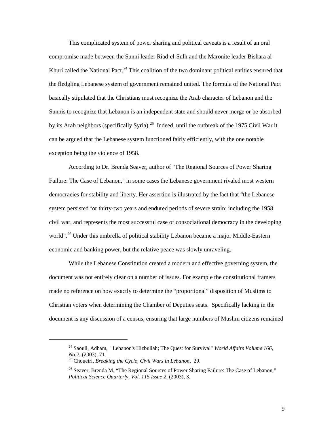This complicated system of power sharing and political caveats is a result of an oral compromise made between the Sunni leader Riad-el-Sulh and the Maronite leader Bishara al-Khuri called the National Pact.<sup>[24](#page-14-0)</sup> This coalition of the two dominant political entities ensured that the fledgling Lebanese system of government remained united. The formula of the National Pact basically stipulated that the Christians must recognize the Arab character of Lebanon and the Sunnis to recognize that Lebanon is an independent state and should never merge or be absorbed by its Arab neighbors (specifically Syria).<sup>[25](#page-14-1)</sup> Indeed, until the outbreak of the 1975 Civil War it can be argued that the Lebanese system functioned fairly efficiently, with the one notable exception being the violence of 1958.

According to Dr. Brenda Seaver, author of "The Regional Sources of Power Sharing Failure: The Case of Lebanon," in some cases the Lebanese government rivaled most western democracies for stability and liberty. Her assertion is illustrated by the fact that "the Lebanese system persisted for thirty-two years and endured periods of severe strain; including the 1958 civil war, and represents the most successful case of consociational democracy in the developing world".<sup>[26](#page-14-2)</sup> Under this umbrella of political stability Lebanon became a major Middle-Eastern economic and banking power, but the relative peace was slowly unraveling.

While the Lebanese Constitution created a modern and effective governing system, the document was not entirely clear on a number of issues. For example the constitutional framers made no reference on how exactly to determine the "proportional" disposition of Muslims to Christian voters when determining the Chamber of Deputies seats. Specifically lacking in the document is any discussion of a census, ensuring that large numbers of Muslim citizens remained

<span id="page-14-0"></span><sup>&</sup>lt;sup>24</sup> Saouli, Adham, "Lebanon's Hizbullah; The Quest for Survival" *World Affairs Volume 166, No.2*, (2003), 71.

<sup>&</sup>lt;sup>25</sup> Choueiri, *Breaking the Cycle, Civil Wars in Lebanon*, 29.

<span id="page-14-2"></span><span id="page-14-1"></span><sup>&</sup>lt;sup>26</sup> Seaver, Brenda M, "The Regional Sources of Power Sharing Failure: The Case of Lebanon," *Political Science Quarterly, Vol. 115 Issue 2*, (2003), 3.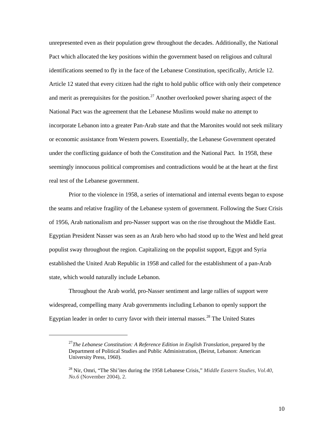unrepresented even as their population grew throughout the decades. Additionally, the National Pact which allocated the key positions within the government based on religious and cultural identifications seemed to fly in the face of the Lebanese Constitution, specifically, Article 12. Article 12 stated that every citizen had the right to hold public office with only their competence and merit as prerequisites for the position.<sup>[27](#page-15-0)</sup> Another overlooked power sharing aspect of the National Pact was the agreement that the Lebanese Muslims would make no attempt to incorporate Lebanon into a greater Pan-Arab state and that the Maronites would not seek military or economic assistance from Western powers. Essentially, the Lebanese Government operated under the conflicting guidance of both the Constitution and the National Pact. In 1958, these seemingly innocuous political compromises and contradictions would be at the heart at the first real test of the Lebanese government.

Prior to the violence in 1958, a series of international and internal events began to expose the seams and relative fragility of the Lebanese system of government. Following the Suez Crisis of 1956, Arab nationalism and pro-Nasser support was on the rise throughout the Middle East. Egyptian President Nasser was seen as an Arab hero who had stood up to the West and held great populist sway throughout the region. Capitalizing on the populist support, Egypt and Syria established the United Arab Republic in 1958 and called for the establishment of a pan-Arab state, which would naturally include Lebanon.

Throughout the Arab world, pro-Nasser sentiment and large rallies of support were widespread, compelling many Arab governments including Lebanon to openly support the Egyptian leader in order to curry favor with their internal masses.<sup>[28](#page-15-1)</sup> The United States

<span id="page-15-0"></span><sup>27</sup>*The Lebanese Constitution: A Reference Edition in English Translation*, prepared by the Department of Political Studies and Public Administration, (Beirut, Lebanon: American University Press, 1960).

<span id="page-15-1"></span><sup>28</sup> Nir, Omri, "The Shi'ites during the 1958 Lebanese Crisis," *Middle Eastern Studies, Vol.40, No.6* (November 2004), 2.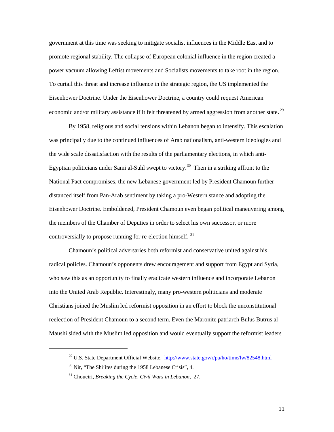government at this time was seeking to mitigate socialist influences in the Middle East and to promote regional stability. The collapse of European colonial influence in the region created a power vacuum allowing Leftist movements and Socialists movements to take root in the region. To curtail this threat and increase influence in the strategic region, the US implemented the Eisenhower Doctrine. Under the Eisenhower Doctrine, a country could request American economic and/or military assistance if it felt threatened by armed aggression from another state.<sup>[29](#page-16-0)</sup>

By 1958, religious and social tensions within Lebanon began to intensify. This escalation was principally due to the continued influences of Arab nationalism, anti-western ideologies and the wide scale dissatisfaction with the results of the parliamentary elections, in which anti-Egyptian politicians under Sami al-Suhl swept to victory.<sup>30</sup> Then in a striking affront to the National Pact compromises, the new Lebanese government led by President Chamoun further distanced itself from Pan-Arab sentiment by taking a pro-Western stance and adopting the Eisenhower Doctrine. Emboldened, President Chamoun even began political maneuvering among the members of the Chamber of Deputies in order to select his own successor, or more controversially to propose running for re-election himself.<sup>[31](#page-16-2)</sup>

Chamoun's political adversaries both reformist and conservative united against his radical policies. Chamoun's opponents drew encouragement and support from Egypt and Syria, who saw this as an opportunity to finally eradicate western influence and incorporate Lebanon into the United Arab Republic. Interestingly, many pro-western politicians and moderate Christians joined the Muslim led reformist opposition in an effort to block the unconstitutional reelection of President Chamoun to a second term. Even the Maronite patriarch Bulus Butrus al-Maushi sided with the Muslim led opposition and would eventually support the reformist leaders

<span id="page-16-0"></span><sup>&</sup>lt;sup>29</sup> U.S. State Department Official Website. http://www.state.gov/r/pa/ho/time/lw/82548.html

<span id="page-16-1"></span> $30$  Nir, "The Shi'ites during the 1958 Lebanese Crisis", 4.

<span id="page-16-2"></span><sup>31</sup> Choueiri, *Breaking the Cycle, Civil Wars in Lebanon*, 27.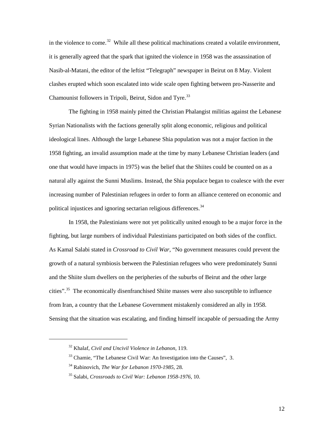in the violence to come.<sup>32</sup> While all these political machinations created a volatile environment, it is generally agreed that the spark that ignited the violence in 1958 was the assassination of Nasib-al-Matani, the editor of the leftist "Telegraph" newspaper in Beirut on 8 May. Violent clashes erupted which soon escalated into wide scale open fighting between pro-Nasserite and Chamounist followers in Tripoli, Beirut, Sidon and Tyre.<sup>[33](#page-17-1)</sup>

The fighting in 1958 mainly pitted the Christian Phalangist militias against the Lebanese Syrian Nationalists with the factions generally split along economic, religious and political ideological lines. Although the large Lebanese Shia population was not a major faction in the 1958 fighting, an invalid assumption made at the time by many Lebanese Christian leaders (and one that would have impacts in 1975) was the belief that the Shiites could be counted on as a natural ally against the Sunni Muslims. Instead, the Shia populace began to coalesce with the ever increasing number of Palestinian refugees in order to form an alliance centered on economic and political injustices and ignoring sectarian religious differences.<sup>[34](#page-17-2)</sup>

In 1958, the Palestinians were not yet politically united enough to be a major force in the fighting, but large numbers of individual Palestinians participated on both sides of the conflict. As Kamal Salabi stated in *Crossroad to Civil War*, "No government measures could prevent the growth of a natural symbiosis between the Palestinian refugees who were predominately Sunni and the Shiite slum dwellers on the peripheries of the suburbs of Beirut and the other large cities".<sup>[35](#page-17-3)</sup> The economically disenfranchised Shiite masses were also susceptible to influence from Iran, a country that the Lebanese Government mistakenly considered an ally in 1958. Sensing that the situation was escalating, and finding himself incapable of persuading the Army

<span id="page-17-0"></span><sup>32</sup> Khalaf, *Civil and Uncivil Violence in Lebanon*, 119.

<span id="page-17-1"></span><sup>&</sup>lt;sup>33</sup> Chamie, "The Lebanese Civil War: An Investigation into the Causes", 3.

<span id="page-17-2"></span><sup>34</sup> Rabinovich, *The War for Lebanon 1970-1985,* 28.

<span id="page-17-3"></span><sup>35</sup> Salabi, *Crossroads to Civil War: Lebanon 1958-1976*, 10.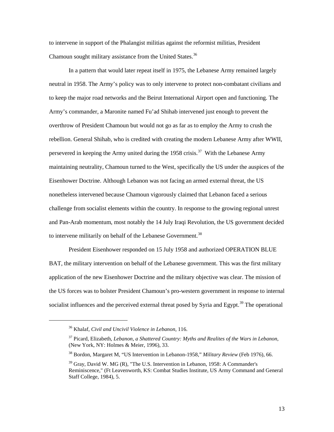to intervene in support of the Phalangist militias against the reformist militias, President Chamoun sought military assistance from the United States.<sup>[36](#page-18-0)</sup>

In a pattern that would later repeat itself in 1975, the Lebanese Army remained largely neutral in 1958. The Army's policy was to only intervene to protect non-combatant civilians and to keep the major road networks and the Beirut International Airport open and functioning. The Army's commander, a Maronite named Fu'ad Shihab intervened just enough to prevent the overthrow of President Chamoun but would not go as far as to employ the Army to crush the rebellion. General Shihab, who is credited with creating the modern Lebanese Army after WWII, persevered in keeping the Army united during the 1958 crisis.<sup>37</sup> With the Lebanese Army maintaining neutrality, Chamoun turned to the West, specifically the US under the auspices of the Eisenhower Doctrine. Although Lebanon was not facing an armed external threat, the US nonetheless intervened because Chamoun vigorously claimed that Lebanon faced a serious challenge from socialist elements within the country. In response to the growing regional unrest and Pan-Arab momentum, most notably the 14 July Iraqi Revolution, the US government decided to intervene militarily on behalf of the Lebanese Government.<sup>[38](#page-18-2)</sup>

[President Eisenhower r](http://en.wikipedia.org/wiki/American_President)esponded on 15 July 1958 and authorized OPERATION BLUE BAT, the military intervention on behalf of the Lebanese government. This was the first military [application](http://en.wikipedia.org/wiki/1958_Lebanon_crisis) of the new [Eisenhower Doctrine](http://en.wikipedia.org/wiki/Dwight_D._Eisenhower#Eisenhower_Doctrine) and the military objective was clear. The mission of the US forces was to bolster President Chamoun's pro-western government in response to internal socialist influences and the perceived external threat posed by Syria and Egypt.<sup>[39](#page-18-3)</sup> The operational

<sup>36</sup> Khalaf, *Civil and Uncivil Violence in Lebanon*, 116.

<span id="page-18-1"></span><span id="page-18-0"></span><sup>37</sup> Picard, Elizabeth, *Lebanon, a Shattered Country: Myths and Realites of the Wars in Lebanon*, (New York, NY: Holmes & Meier, 1996), 33.

<span id="page-18-2"></span><sup>38</sup> Bordon, Margaret M, "US Intervention in Lebanon-1958," *Military Review* (Feb 1976), 66.

<span id="page-18-3"></span> $39$  Gray, David W. MG (R), "The U.S. Intervention in Lebanon, 1958: A Commander's Reminiscence," (Ft Leavenworth, KS: Combat Studies Institute, US Army Command and General Staff College, 1984), 5.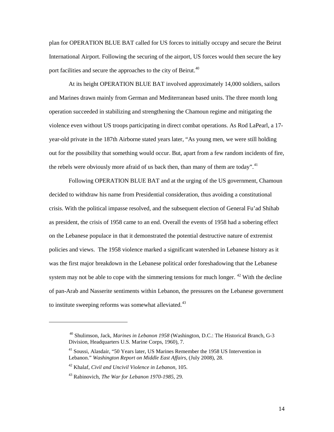plan for OPERATION BLUE BAT called for US forces to initially occupy and secure the Beirut International Airport. Following the securing of the airport, US forces would then secure the key port facilities and secure the approaches to the city of Beirut.<sup>[40](#page-19-0)</sup>

At its height OPERATION BLUE BAT involved approximately 14,000 soldiers, sailors and Marines drawn mainly from German and Mediterranean based units. The three month long operation succeeded in stabilizing and strengthening the Chamoun regime and mitigating the violence even without US troops participating in direct combat operations. As Rod LaPearl, a 17 year-old private in the 187th Airborne stated years later, "As young men, we were still holding out for the possibility that something would occur. But, apart from a few random incidents of fire, the rebels were obviously more afraid of us back then, than many of them are today".<sup>[41](#page-19-1)</sup>

Following OPERATION BLUE BAT and at the urging of the US government, Chamoun decided to withdraw his name from Presidential consideration, thus avoiding a constitutional crisis. With the political impasse resolved, and the subsequent election of General Fu'ad Shihab as president, the crisis of 1958 came to an end. Overall the events of 1958 had a sobering effect on the Lebanese populace in that it demonstrated the potential destructive nature of extremist policies and views. The 1958 violence marked a significant watershed in Lebanese history as it was the first major breakdown in the Lebanese political order foreshadowing that the Lebanese system may not be able to cope with the simmering tensions for much longer. <sup>[42](#page-19-2)</sup> With the decline of pan-Arab and Nasserite sentiments within Lebanon, the pressures on the Lebanese government to institute sweeping reforms was somewhat alleviated.<sup>[43](#page-19-3)</sup>

<span id="page-19-0"></span><sup>40</sup> Shulimson, Jack, *Marines in Lebanon 1958* (Washington, D.C.: The Historical Branch, G-3 Division, Headquarters U.S. Marine Corps, 1960), 7.

<span id="page-19-1"></span><sup>41</sup> Soussi, Alasdair, "50 Years later, US Marines Remember the 1958 US Intervention in Lebanon." *Washington Report on Middle East Affairs*, (July 2008), 28.

<span id="page-19-2"></span><sup>42</sup> Khalaf, *Civil and Uncivil Violence in Lebanon,* 105.

<span id="page-19-3"></span><sup>43</sup> Rabinovich, *The War for Lebanon 1970-1985*, 29.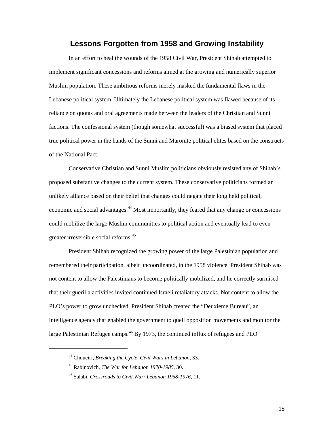#### **Lessons Forgotten from 1958 and Growing Instability**

In an effort to heal the wounds of the 1958 Civil War, President Shihab attempted to implement significant concessions and reforms aimed at the growing and numerically superior Muslim population. These ambitious reforms merely masked the fundamental flaws in the Lebanese political system. Ultimately the Lebanese political system was flawed because of its reliance on quotas and oral agreements made between the leaders of the Christian and Sunni factions. The confessional system (though somewhat successful) was a biased system that placed true political power in the hands of the Sunni and Maronite political elites based on the constructs of the National Pact.

Conservative Christian and Sunni Muslim politicians obviously resisted any of Shihab's proposed substantive changes to the current system. These conservative politicians formed an unlikely alliance based on their belief that changes could negate their long held political, economic and social advantages.<sup>44</sup> Most importantly, they feared that any change or concessions could mobilize the large Muslim communities to political action and eventually lead to even greater irreversible social reforms.<sup>[45](#page-20-1)</sup>

President Shihab recognized the growing power of the large Palestinian population and remembered their participation, albeit uncoordinated, in the 1958 violence. President Shihab was not content to allow the Palestinians to become politically mobilized, and he correctly surmised that their guerilla activities invited continued Israeli retaliatory attacks. Not content to allow the PLO's power to grow unchecked, President Shihab created the "Deuxieme Bureau", an intelligence agency that enabled the government to quell opposition movements and monitor the large Palestinian Refugee camps.<sup>[46](#page-20-2)</sup> By 1973, the continued influx of refugees and PLO

<span id="page-20-2"></span><span id="page-20-1"></span><span id="page-20-0"></span> $\overline{a}$ 

15

<sup>44</sup> Choueiri, *Breaking the Cycle, Civil Wars in Lebanon*, 33.

<sup>45</sup> Rabinovich, *The War for Lebanon 1970-1985*, 30.

<sup>46</sup> Salabi, *Crossroads to Civil War: Lebanon 1958-1976,* 11.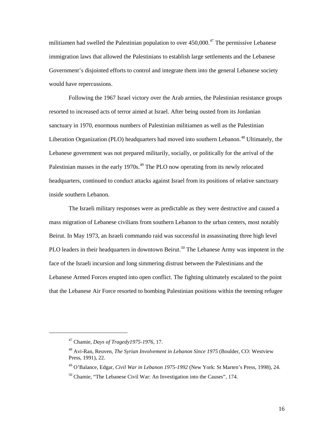militiamen had swelled the Palestinian population to over  $450,000$ .<sup>[47](#page-21-0)</sup> The permissive Lebanese immigration laws that allowed the Palestinians to establish large settlements and the Lebanese Government's disjointed efforts to control and integrate them into the general Lebanese society would have repercussions.

Following the 1967 Israel victory over the Arab armies, the Palestinian resistance groups resorted to increased acts of terror aimed at Israel. After being ousted from its Jordanian sanctuary in 1970, enormous numbers of Palestinian militiamen as well as the Palestinian Liberation Organization (PLO) headquarters had moved into southern Lebanon.<sup>[48](#page-21-1)</sup> Ultimately, the Lebanese government was not prepared militarily, socially, or politically for the arrival of the Palestinian masses in the early 1970s.<sup>[49](#page-21-2)</sup> The PLO now operating from its newly relocated headquarters, continued to conduct attacks against Israel from its positions of relative sanctuary inside southern Lebanon.

The Israeli military responses were as predictable as they were destructive and caused a mass migration of Lebanese civilians from southern Lebanon to the urban centers, most notably Beirut. In May 1973, an Israeli commando raid was successful in assassinating three high level PLO leaders in their headquarters in downtown Beirut.<sup>[50](#page-21-3)</sup> The Lebanese Army was impotent in the face of the Israeli incursion and long simmering distrust between the Palestinians and the Lebanese Armed Forces erupted into open conflict. The fighting ultimately escalated to the point that the Lebanese Air Force resorted to bombing Palestinian positions within the teeming refugee

<span id="page-21-0"></span><sup>47</sup> Chamie, *Days of Tragedy1975-1976*, 17.

<span id="page-21-1"></span><sup>48</sup> Avi-Ran, Reuven, *The Syrian Involvement in Lebanon Since 1975* (Boulder, CO: Westview Press, 1991), 22.

<span id="page-21-2"></span><sup>49</sup> O'Balance, Edgar, *Civil War in Lebanon 1975-1992* (New York: St Marten's Press, 1998), 24.

<span id="page-21-3"></span> $50$  Chamie, "The Lebanese Civil War: An Investigation into the Causes", 174.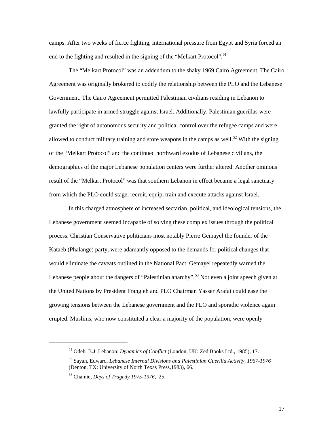camps. After two weeks of fierce fighting, international pressure from Egypt and Syria forced an end to the fighting and resulted in the signing of the "Melkart Protocol".<sup>[51](#page-22-0)</sup>

The "Melkart Protocol" was an addendum to the shaky 1969 Cairo Agreement. The Cairo Agreement was originally brokered to codify the relationship between the PLO and the Lebanese Government. The Cairo Agreement permitted Palestinian civilians residing in Lebanon to lawfully participate in armed struggle against Israel. Additionally, Palestinian guerillas were granted the right of autonomous security and political control over the refugee camps and were allowed to conduct military training and store weapons in the camps as well.<sup>[52](#page-22-1)</sup> With the signing of the "Melkart Protocol" and the continued northward exodus of Lebanese civilians, the demographics of the major Lebanese population centers were further altered. Another ominous result of the "Melkart Protocol" was that southern Lebanon in effect became a legal sanctuary from which the PLO could stage, recruit, equip, train and execute attacks against Israel.

In this charged atmosphere of increased sectarian, political, and ideological tensions, the Lebanese government seemed incapable of solving these complex issues through the political process. Christian Conservative politicians most notably Pierre Gemayel the founder of the Kataeb (Phalange) party, were adamantly opposed to the demands for political changes that would eliminate the caveats outlined in the National Pact. Gemayel repeatedly warned the Lebanese people about the dangers of "Palestinian anarchy".<sup>[53](#page-22-2)</sup> Not even a joint speech given at the United Nations by President Frangieh and PLO Chairman Yasser Arafat could ease the growing tensions between the Lebanese government and the PLO and sporadic violence again erupted. Muslims, who now constituted a clear a majority of the population, were openly

<span id="page-22-0"></span><sup>51</sup> Odeh, B.J. Lebanon: *Dynamics of Conflict* (London, UK: Zed Books Ltd., 1985), 17.

<span id="page-22-1"></span><sup>52</sup> Sayah, Edward. *Lebanese Internal Divisions and Palestinian Guerilla Activity, 1967-1976* (Denton, TX: University of North Texas Press,1983), 66.

<span id="page-22-2"></span><sup>53</sup> Chamie, *Days of Tragedy 1975-1976*, 25.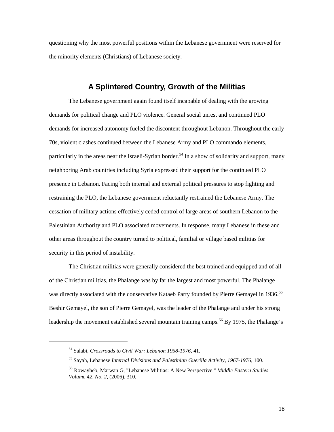questioning why the most powerful positions within the Lebanese government were reserved for the minority elements (Christians) of Lebanese society.

#### **A Splintered Country, Growth of the Militias**

The Lebanese government again found itself incapable of dealing with the growing demands for political change and PLO violence. General social unrest and continued PLO demands for increased autonomy fueled the discontent throughout Lebanon. Throughout the early 70s, violent clashes continued between the Lebanese Army and PLO commando elements, particularly in the areas near the Israeli-Syrian border.<sup>[54](#page-23-0)</sup> In a show of solidarity and support, many neighboring Arab countries including Syria expressed their support for the continued PLO presence in Lebanon. Facing both internal and external political pressures to stop fighting and restraining the PLO, the Lebanese government reluctantly restrained the Lebanese Army. The cessation of military actions effectively ceded control of large areas of southern Lebanon to the Palestinian Authority and PLO associated movements. In response, many Lebanese in these and other areas throughout the country turned to political, familial or village based militias for security in this period of instability.

The Christian militias were generally considered the best trained and equipped and of all of the Christian militias, the Phalange was by far the largest and most powerful. The Phalange was directly associated with the conservative Kataeb Party founded by Pierre Gemayel in 1936.<sup>[55](#page-23-1)</sup> Beshir Gemayel, the son of Pierre Gemayel, was the leader of the Phalange and under his strong leadership the movement established several mountain training camps.<sup>[56](#page-23-2)</sup> By 1975, the Phalange's

<span id="page-23-0"></span><sup>54</sup> Salabi, *Crossroads to Civil War: Lebanon 1958-1976*, 41.

<span id="page-23-1"></span><sup>55</sup> Sayah, Lebanese *Internal Divisions and Palestinian Guerilla Activity, 1967-1976*, 100.

<span id="page-23-2"></span><sup>56</sup> Rowayheb, Marwan G, "Lebanese Militias: A New Perspective." *Middle Eastern Studies Volume 42, No. 2*, (2006), 310.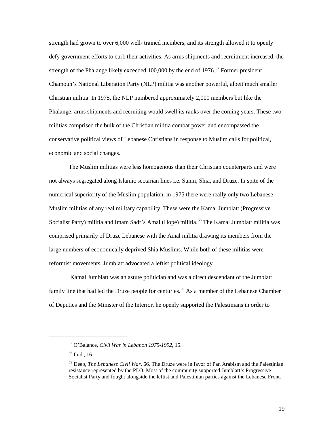strength had grown to over 6,000 well- trained members, and its strength allowed it to openly defy government efforts to curb their activities. As arms shipments and recruitment increased, the strength of the Phalange likely exceeded  $100,000$  by the end of  $1976$ .<sup>[57](#page-24-0)</sup> Former president Chamoun's National Liberation Party (NLP) militia was another powerful, albeit much smaller Christian militia. In 1975, the NLP numbered approximately 2,000 members but like the Phalange, arms shipments and recruiting would swell its ranks over the coming years. These two militias comprised the bulk of the Christian militia combat power and encompassed the conservative political views of Lebanese Christians in response to Muslim calls for political, economic and social changes.

The Muslim militias were less homogenous than their Christian counterparts and were not always segregated along Islamic sectarian lines i.e. Sunni, Shia, and Druze. In spite of the numerical superiority of the Muslim population, in 1975 there were really only two Lebanese Muslim militias of any real military capability. These were the Kamal Jumblatt (Progressive Socialist Party) militia and Imam Sadr's Amal (Hope) militia.<sup>[58](#page-24-1)</sup> The Kamal Jumblatt militia was comprised primarily of Druze Lebanese with the Amal militia drawing its members from the large numbers of economically deprived Shia Muslims. While both of these militias were reformist movements, Jumblatt advocated a leftist political ideology.

Kamal Jumblatt was an astute politician and was a direct descendant of the Jumblatt family line that had led the Druze people for centuries.<sup>[59](#page-24-2)</sup> As a member of the Lebanese Chamber ofDeputies and the Minister of the Interior, he openly supported the Palestinians in order to

<span id="page-24-0"></span><sup>57</sup> O'Balance, *Civil War in Lebanon 1975-1992*, 15.

<span id="page-24-1"></span><sup>58</sup> Ibid., 16.

<span id="page-24-2"></span><sup>59</sup> Deeb, *The Lebanese Civil War*, 66. The Druze were in favor of Pan Arabism and the Palestinian resistance represented by the PLO. Most of the community supported Jumblatt's Progressive Socialist Party and fought alongside the leftist and Palestinian parties against the Lebanese Front.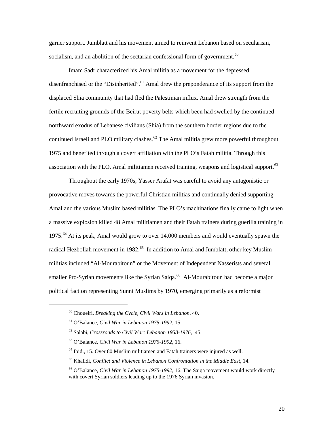garner support. Jumblatt and his movement aimed to reinvent Lebanon based on secularism, socialism, and an abolition of the sectarian confessional form of government. $60$ 

Imam Sadr characterized his Amal militia as a movement for the depressed, disenfranchised or the "Disinherited".<sup>[61](#page-25-1)</sup> Amal drew the preponderance of its support from the displaced Shia community that had fled the Palestinian influx. Amal drew strength from the fertile recruiting grounds of the Beirut poverty belts which been had swelled by the continued northward exodus of Lebanese civilians (Shia) from the southern border regions due to the continued Israeli and PLO military clashes.<sup>[62](#page-25-2)</sup> The Amal militia grew more powerful throughout 1975 and benefited through a covert affiliation with the PLO's Fatah militia. Through this association with the PLO, Amal militiamen received training, weapons and logistical support.<sup>[63](#page-25-3)</sup>

Throughout the early 1970s, Yasser Arafat was careful to avoid any antagonistic or provocative moves towards the powerful Christian militias and continually denied supporting Amal and the various Muslim based militias. The PLO's machinations finally came to light when a massive explosion killed 48 Amal militiamen and their Fatah trainers during guerilla training in 1975.<sup>[64](#page-25-4)</sup> At its peak, Amal would grow to over 14,000 members and would eventually spawn the radical Hezbollah movement in 1982.<sup>[65](#page-25-5)</sup> In addition to Amal and Jumblatt, other key Muslim militias included "Al-Mourabitoun" or the Movement of Independent Nasserists and several smaller Pro-Syrian movements like the Syrian Saiqa.<sup>[66](#page-25-6)</sup> Al-Mourabitoun had become a major political faction representing Sunni Muslims by 1970, emerging primarily as a reformist

<span id="page-25-0"></span><sup>60</sup> Choueiri, *Breaking the Cycle, Civil Wars in Lebanon*, 40.

<span id="page-25-1"></span><sup>61</sup> O'Balance, *Civil War in Lebanon 1975-1992*, 15.

<span id="page-25-2"></span><sup>62</sup> Salabi, *Crossroads to Civil War: Lebanon 1958-1976*, 45.

<sup>63</sup> O'Balance, *Civil War in Lebanon 1975-1992*, 16.

<span id="page-25-4"></span><span id="page-25-3"></span> $64$  Ibid., 15. Over 80 Muslim militiamen and Fatah trainers were injured as well.

<span id="page-25-5"></span><sup>65</sup> Khalidi, *Conflict and Violence in Lebanon Confrontation in the Middle East*, 14.

<span id="page-25-6"></span><sup>66</sup> O'Balance, *Civil War in Lebanon 1975-1992*, 16. The Saiqa movement would work directly with covert Syrian soldiers leading up to the 1976 Syrian invasion.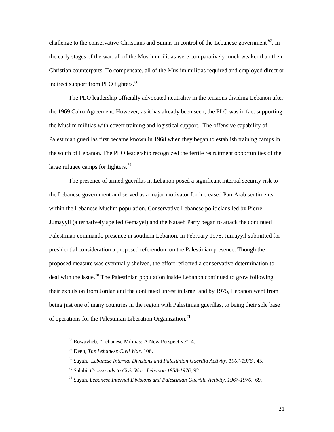challenge to the conservative Christians and Sunnis in control of the Lebanese government  $^{67}$ . In the early stages of the war, all of the Muslim militias were comparatively much weaker than their Christian counterparts. To compensate, all of the Muslim militias required and employed direct or indirect support from PLO fighters.<sup>[68](#page-26-1)</sup>

The PLO leadership officially advocated neutrality in the tensions dividing Lebanon after the 1969 Cairo Agreement. However, as it has already been seen, the PLO was in fact supporting the Muslim militias with covert training and logistical support. The offensive capability of Palestinian guerillas first became known in 1968 when they began to establish training camps in the south of Lebanon. The PLO leadership recognized the fertile recruitment opportunities of the large refugee camps for fighters.<sup>[69](#page-26-2)</sup>

The presence of armed guerillas in Lebanon posed a significant internal security risk to the Lebanese government and served as a major motivator for increased Pan-Arab sentiments within the Lebanese Muslim population. Conservative Lebanese politicians led by Pierre Jumayyil (alternatively spelled Gemayel) and the Kataeb Party began to attack the continued Palestinian commando presence in southern Lebanon. In February 1975, Jumayyil submitted for presidential consideration a proposed referendum on the Palestinian presence. Though the proposed measure was eventually shelved, the effort reflected a conservative determination to deal with the issue.<sup>70</sup> The Palestinian population inside Lebanon continued to grow following their expulsion from Jordan and the continued unrest in Israel and by 1975, Lebanon went from being just one of many countries in the region with Palestinian guerillas, to being their sole base of operations for the Palestinian Liberation Organization.<sup>[71](#page-26-4)</sup>

<span id="page-26-0"></span><sup>67</sup> Rowayheb, "Lebanese Militias: A New Perspective", 4.

<span id="page-26-1"></span><sup>68</sup> Deeb, *The Lebanese Civil War*, 106.

<span id="page-26-2"></span><sup>69</sup> Sayah, *Lebanese Internal Divisions and Palestinian Guerilla Activity, 1967-1976* , 45.

<span id="page-26-3"></span><sup>70</sup> Salabi, *Crossroads to Civil War: Lebanon 1958-1976*, 92.

<span id="page-26-4"></span><sup>71</sup> Sayah, *Lebanese Internal Divisions and Palestinian Guerilla Activity, 1967-1976*, 69.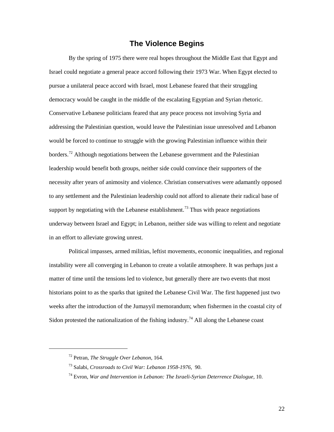#### **The Violence Begins**

By the spring of 1975 there were real hopes throughout the Middle East that Egypt and Israel could negotiate a general peace accord following their 1973 War. When Egypt elected to pursue a unilateral peace accord with Israel, most Lebanese feared that their struggling democracy would be caught in the middle of the escalating Egyptian and Syrian rhetoric. Conservative Lebanese politicians feared that any peace process not involving Syria and addressing the Palestinian question, would leave the Palestinian issue unresolved and Lebanon would be forced to continue to struggle with the growing Palestinian influence within their borders.<sup>[72](#page-27-0)</sup> Although negotiations between the Lebanese government and the Palestinian leadership would benefit both groups, neither side could convince their supporters of the necessity after years of animosity and violence. Christian conservatives were adamantly opposed to any settlement and the Palestinian leadership could not afford to alienate their radical base of support by negotiating with the Lebanese establishment.<sup>[73](#page-27-1)</sup> Thus with peace negotiations underway between Israel and Egypt; in Lebanon, neither side was willing to relent and negotiate in an effort to alleviate growing unrest.

Political impasses, armed militias, leftist movements, economic inequalities, and regional instability were all converging in Lebanon to create a volatile atmosphere. It was perhaps just a matter of time until the tensions led to violence, but generally there are two events that most historians point to as the sparks that ignited the Lebanese Civil War. The first happened just two weeks after the introduction of the Jumayyil memorandum; when fishermen in the coastal city of Sidon protested the nationalization of the fishing industry.<sup>[74](#page-27-2)</sup> All along the Lebanese coast

<span id="page-27-0"></span><sup>72</sup> Petran, *The Struggle Over Lebanon*, 164.

<span id="page-27-1"></span><sup>73</sup> Salabi, *Crossroads to Civil War: Lebanon 1958-1976,* 90.

<span id="page-27-2"></span><sup>74</sup> Evron, *War and Intervention in Lebanon: The Israeli-Syrian Deterrence Dialogue,* 10.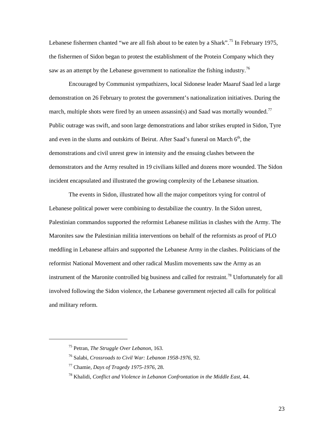Lebanese fishermen chanted "we are all fish about to be eaten by a Shark".<sup>[75](#page-28-0)</sup> In February 1975, the fishermen of Sidon began to protest the establishment of the Protein Company which they saw as an attempt by the Lebanese government to nationalize the fishing industry.<sup>[76](#page-28-1)</sup>

Encouraged by Communist sympathizers, local Sidonese leader Maaruf Saad led a large demonstration on 26 February to protest the government's nationalization initiatives. During the march, multiple shots were fired by an unseen assassin(s) and Saad was mortally wounded.<sup>[77](#page-28-2)</sup> Public outrage was swift, and soon large demonstrations and labor strikes erupted in Sidon, Tyre and even in the slums and outskirts of Beirut. After Saad's funeral on March  $6<sup>th</sup>$ , the demonstrations and civil unrest grew in intensity and the ensuing clashes between the demonstrators and the Army resulted in 19 civilians killed and dozens more wounded. The Sidon incident encapsulated and illustrated the growing complexity of the Lebanese situation.

The events in Sidon, illustrated how all the major competitors vying for control of Lebanese political power were combining to destabilize the country. In the Sidon unrest, Palestinian commandos supported the reformist Lebanese militias in clashes with the Army. The Maronites saw the Palestinian militia interventions on behalf of the reformists as proof of PLO meddling in Lebanese affairs and supported the Lebanese Army in the clashes. Politicians of the reformist National Movement and other radical Muslim movements saw the Army as an instrument of the Maronite controlled big business and called for restraint.<sup>[78](#page-28-3)</sup> Unfortunately for all involved following the Sidon violence, the Lebanese government rejected all calls for political and military reform.

<span id="page-28-0"></span><sup>75</sup> Petran, *The Struggle Over Lebanon*, 163.

<span id="page-28-1"></span><sup>76</sup> Salabi, *Crossroads to Civil War: Lebanon 1958-1976*, 92.

<span id="page-28-2"></span><sup>77</sup> Chamie, *Days of Tragedy 1975-1976*, 28.

<span id="page-28-3"></span><sup>78</sup> Khalidi, *Conflict and Violence in Lebanon Confrontation in the Middle East*, 44.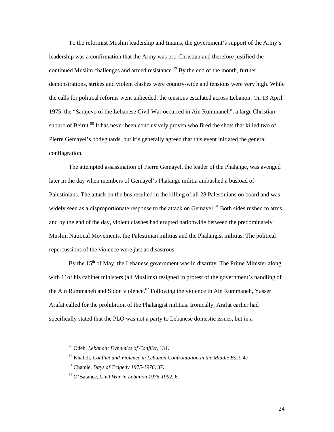To the reformist Muslim leadership and Imams, the government's support of the Army's leadership was a confirmation that the Army was pro-Christian and therefore justified the continued Muslim challenges and armed resistance.<sup>79</sup> By the end of the month, further demonstrations, strikes and violent clashes were country-wide and tensions were very high. While the calls for political reforms went unheeded, the tensions escalated across Lebanon. On 13 April 1975, the "Sarajevo of the Lebanese Civil War occurred in Ain Rummaneh", a large Christian suburb of Beirut.<sup>[80](#page-29-1)</sup> It has never been conclusively proven who fired the shots that killed two of Pierre Gemayel's bodyguards, but it's generally agreed that this event initiated the general conflagration.

The attempted assassination of Pierre Gemayel, the leader of the Phalange, was avenged later in the day when members of Gemayel's Phalange militia ambushed a busload of Palestinians. The attack on the bus resulted in the killing of all 28 Palestinians on board and was widely seen as a disproportionate response to the attack on Gemayel.<sup>[81](#page-29-2)</sup> Both sides rushed to arms and by the end of the day, violent clashes had erupted nationwide between the predominately Muslim National Movements, the Palestinian militias and the Phalangist militias. The political repercussions of the violence were just as disastrous.

By the  $15<sup>th</sup>$  of May, the Lebanese government was in disarray. The Prime Minister along with 11of his cabinet ministers (all Muslims) resigned in protest of the government's handling of the Ain Rummaneh and Sidon violence.<sup>[82](#page-29-3)</sup> Following the violence in Ain Rummaneh, Yasser Arafat called for the prohibition of the Phalangist militias. Ironically, Arafat earlier had specifically stated that the PLO was not a party to Lebanese domestic issues, but in a

<span id="page-29-1"></span><span id="page-29-0"></span><sup>79</sup> Odeh, *Lebanon: Dynamics of Conflict*, 131.

<sup>80</sup> Khalidi, *Conflict and Violence in Lebanon Confrontation in the Middle East*, 47.

<span id="page-29-2"></span><sup>81</sup> Chamie, *Days of Tragedy 1975-1976*, 37.

<span id="page-29-3"></span><sup>82</sup> O'Balance, *Civil War in Lebanon 1975-1992*, 6.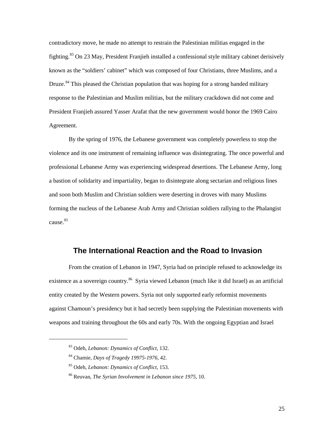contradictory move, he made no attempt to restrain the Palestinian militias engaged in the fighting.[83](#page-30-0) On 23 May, President Franjieh installed a confessional style military cabinet derisively known as the "soldiers' cabinet" which was composed of four Christians, three Muslims, and a Druze.<sup>[84](#page-30-1)</sup> This pleased the Christian population that was hoping for a strong handed military response to the Palestinian and Muslim militias, but the military crackdown did not come and President Franjieh assured Yasser Arafat that the new government would honor the 1969 Cairo Agreement.

By the spring of 1976, the Lebanese government was completely powerless to stop the violence and its one instrument of remaining influence was disintegrating. The once powerful and professional Lebanese Army was experiencing widespread desertions. The Lebanese Army, long a bastion of solidarity and impartiality, began to disintegrate along sectarian and religious lines and soon both Muslim and Christian soldiers were deserting in droves with many Muslims forming the nucleus of the Lebanese Arab Army and Christian soldiers rallying to the Phalangist cause. [85](#page-30-2)

#### **The International Reaction and the Road to Invasion**

From the creation of Lebanon in 1947, Syria had on principle refused to acknowledge its existence as a sovereign country.<sup>[86](#page-30-3)</sup> Syria viewed Lebanon (much like it did Israel) as an artificial entity created by the Western powers. Syria not only supported early reformist movements against Chamoun's presidency but it had secretly been supplying the Palestinian movements with weapons and training throughout the 60s and early 70s. With the ongoing Egyptian and Israel

<span id="page-30-0"></span><sup>83</sup> Odeh, *Lebanon: Dynamics of Conflict*, 132.

<span id="page-30-1"></span><sup>84</sup> Chamie, *Days of Tragedy 19975-1976*, 42.

<span id="page-30-2"></span><sup>85</sup> Odeh, *Lebanon: Dynamics of Conflict*, 153.

<span id="page-30-3"></span><sup>86</sup> Reuvan, *The Syrian Involvement in Lebanon since 1975*, 10.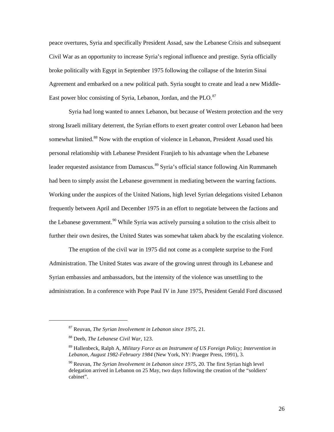peace overtures, Syria and specifically President Assad, saw the Lebanese Crisis and subsequent Civil War as an opportunity to increase Syria's regional influence and prestige. Syria officially broke politically with Egypt in September 1975 following the collapse of the Interim Sinai Agreement and embarked on a new political path. Syria sought to create and lead a new Middle-East power bloc consisting of Syria, Lebanon, Jordan, and the PLO.<sup>[87](#page-31-0)</sup>

Syria had long wanted to annex Lebanon, but because of Western protection and the very strong Israeli military deterrent, the Syrian efforts to exert greater control over Lebanon had been somewhat limited.<sup>88</sup> Now with the eruption of violence in Lebanon, President Assad used his personal relationship with Lebanese President Franjieh to his advantage when the Lebanese leader requested assistance from Damascus.<sup>[89](#page-31-2)</sup> Syria's official stance following Ain Rummaneh had been to simply assist the Lebanese government in mediating between the warring factions. Working under the auspices of the United Nations, high level Syrian delegations visited Lebanon frequently between April and December 1975 in an effort to negotiate between the factions and the Lebanese government.<sup>[90](#page-31-3)</sup> While Syria was actively pursuing a solution to the crisis albeit to further their own desires, the United States was somewhat taken aback by the escalating violence.

The eruption of the civil war in 1975 did not come as a complete surprise to the Ford Administration. The United States was aware of the growing unrest through its Lebanese and Syrian embassies and ambassadors, but the intensity of the violence was unsettling to the administration. In a conference with Pope Paul IV in June 1975, President Gerald Ford discussed

<span id="page-31-0"></span><sup>87</sup> Reuvan, *The Syrian Involvement in Lebanon since 1975*, 21.

<span id="page-31-1"></span><sup>88</sup> Deeb, *The Lebanese Civil War*, 123.

<span id="page-31-2"></span><sup>89</sup> Hallenbeck, Ralph A, *Military Force as an Instrument of US Foreign Policy; Intervention in Lebanon, August 1982-February 1984* (New York, NY: Praeger Press, 1991), 3.

<span id="page-31-3"></span><sup>90</sup> Reuvan, *The Syrian Involvement in Lebanon since 1975*, 20. The first Syrian high level delegation arrived in Lebanon on 25 May, two days following the creation of the "soldiers' cabinet".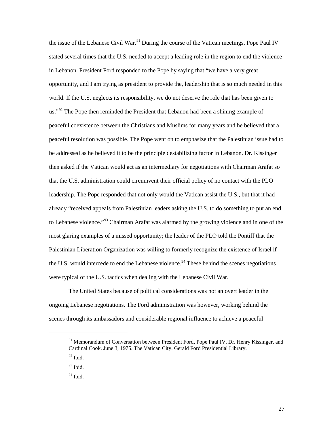the issue of the Lebanese Civil War.<sup>[91](#page-32-0)</sup> During the course of the Vatican meetings, Pope Paul IV stated several times that the U.S. needed to accept a leading role in the region to end the violence in Lebanon. President Ford responded to the Pope by saying that "we have a very great opportunity, and I am trying as president to provide the, leadership that is so much needed in this world. If the U.S. neglects its responsibility, we do not deserve the role that has been given to us."<sup>92</sup> The Pope then reminded the President that Lebanon had been a shining example of peaceful coexistence between the Christians and Muslims for many years and he believed that a peaceful resolution was possible. The Pope went on to emphasize that the Palestinian issue had to be addressed as he believed it to be the principle destabilizing factor in Lebanon. Dr. Kissinger then asked if the Vatican would act as an intermediary for negotiations with Chairman Arafat so that the U.S. administration could circumvent their official policy of no contact with the PLO leadership. The Pope responded that not only would the Vatican assist the U.S., but that it had already "received appeals from Palestinian leaders asking the U.S. to do something to put an end to Lebanese violence."<sup>[93](#page-32-2)</sup> Chairman Arafat was alarmed by the growing violence and in one of the most glaring examples of a missed opportunity; the leader of the PLO told the Pontiff that the Palestinian Liberation Organization was willing to formerly recognize the existence of Israel if the U.S. would intercede to end the Lebanese violence.<sup>[94](#page-32-3)</sup> These behind the scenes negotiations were typical of the U.S. tactics when dealing with the Lebanese Civil War.

The United States because of political considerations was not an overt leader in the ongoing Lebanese negotiations. The Ford administration was however, working behind the scenes through its ambassadors and considerable regional influence to achieve a peaceful

<span id="page-32-0"></span><sup>&</sup>lt;sup>91</sup> Memorandum of Conversation between President Ford, Pope Paul IV, Dr. Henry Kissinger, and Cardinal Cook. June 3, 1975. The Vatican City. Gerald Ford Presidential Library.

<span id="page-32-1"></span> $92$  Ibid.

<span id="page-32-2"></span><sup>93</sup> Ibid.

<span id="page-32-3"></span> $94$  Ibid.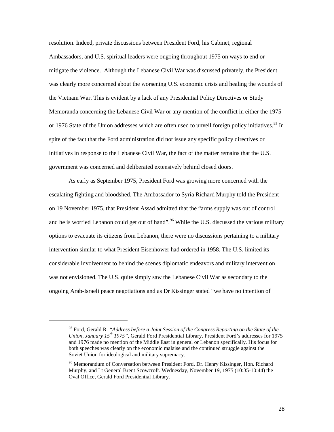resolution. Indeed, private discussions between President Ford, his Cabinet, regional Ambassadors, and U.S. spiritual leaders were ongoing throughout 1975 on ways to end or mitigate the violence. Although the Lebanese Civil War was discussed privately, the President was clearly more concerned about the worsening U.S. economic crisis and healing the wounds of the Vietnam War. This is evident by a lack of any Presidential Policy Directives or Study Memoranda concerning the Lebanese Civil War or any mention of the conflict in either the 1975 or 1976 State of the Union addresses which are often used to unveil foreign policy initiatives.<sup>[95](#page-33-0)</sup> In spite of the fact that the Ford administration did not issue any specific policy directives or initiatives in response to the Lebanese Civil War, the fact of the matter remains that the U.S. government was concerned and deliberated extensively behind closed doors.

As early as September 1975, President Ford was growing more concerned with the escalating fighting and bloodshed. The Ambassador to Syria Richard Murphy told the President on 19 November 1975, that President Assad admitted that the "arms supply was out of control and he is worried Lebanon could get out of hand".<sup>[96](#page-33-1)</sup> While the U.S. discussed the various military options to evacuate its citizens from Lebanon, there were no discussions pertaining to a military intervention similar to what President Eisenhower had ordered in 1958. The U.S. limited its considerable involvement to behind the scenes diplomatic endeavors and military intervention was not envisioned. The U.S. quite simply saw the Lebanese Civil War as secondary to the ongoing Arab-Israeli peace negotiations and as Dr Kissinger stated "we have no intention of

<span id="page-33-0"></span><sup>95</sup> Ford, Gerald R. *"Address before a Joint Session of the Congress Reporting on the State of the Union, January 15th 1975",* Gerald Ford Presidential Library. President Ford's addresses for 1975 and 1976 made no mention of the Middle East in general or Lebanon specifically. His focus for both speeches was clearly on the economic malaise and the continued struggle against the Soviet Union for ideological and military supremacy.

<span id="page-33-1"></span><sup>&</sup>lt;sup>96</sup> Memorandum of Conversation between President Ford, Dr. Henry Kissinger, Hon. Richard Murphy, and Lt General Brent Scowcroft. Wednesday, November 19, 1975 (10:35-10:44) the Oval Office, Gerald Ford Presidential Library.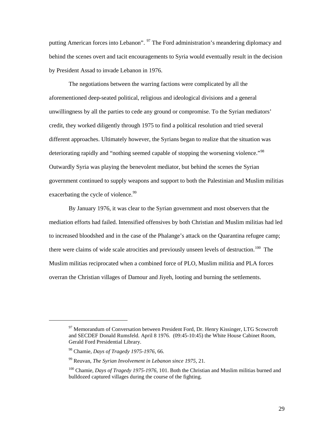putting American forces into Lebanon". <sup>[97](#page-34-0)</sup> The Ford administration's meandering diplomacy and behind the scenes overt and tacit encouragements to Syria would eventually result in the decision by President Assad to invade Lebanon in 1976.

The negotiations between the warring factions were complicated by all the aforementioned deep-seated political, religious and ideological divisions and a general unwillingness by all the parties to cede any ground or compromise. To the Syrian mediators' credit, they worked diligently through 1975 to find a political resolution and tried several different approaches. Ultimately however, the Syrians began to realize that the situation was deteriorating rapidly and "nothing seemed capable of stopping the worsening violence."<sup>[98](#page-34-1)</sup> Outwardly Syria was playing the benevolent mediator, but behind the scenes the Syrian government continued to supply weapons and support to both the Palestinian and Muslim militias exacerbating the cycle of violence.<sup>[99](#page-34-2)</sup>

By January 1976, it was clear to the Syrian government and most observers that the mediation efforts had failed. Intensified offensives by both Christian and Muslim militias had led to increased bloodshed and in the case of the Phalange's attack on the Quarantina refugee camp; there were claims of wide scale atrocities and previously unseen levels of destruction.<sup>[100](#page-34-3)</sup> The Muslim militias reciprocated when a combined force of PLO, Muslim militia and PLA forces overran the Christian villages of Damour and Jiyeh, looting and burning the settlements.

<span id="page-34-0"></span><sup>&</sup>lt;sup>97</sup> Memorandum of Conversation between President Ford, Dr. Henry Kissinger, LTG Scowcroft and SECDEF Donald Rumsfeld. April 8 1976. (09:45-10:45) the White House Cabinet Room, Gerald Ford Presidential Library.

<span id="page-34-1"></span><sup>98</sup> Chamie, *Days of Tragedy 1975-1976*, 66.

<span id="page-34-2"></span><sup>99</sup> Reuvan, *The Syrian Involvement in Lebanon since 1975*, 21.

<span id="page-34-3"></span><sup>100</sup> Chamie, *Days of Tragedy 1975-1976*, 101. Both the Christian and Muslim militias burned and bulldozed captured villages during the course of the fighting.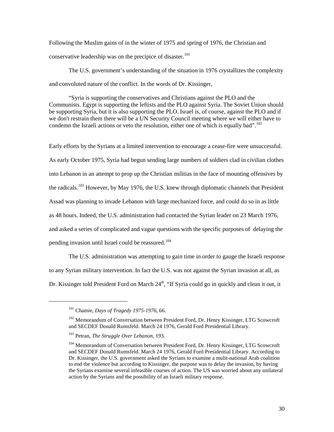Following the Muslim gains of in the winter of 1975 and spring of 1976, the Christian and conservative leadership was on the precipice of disaster.<sup>[101](#page-35-0)</sup>

The U.S. government's understanding of the situation in 1976 crystallizes the complexity and convoluted nature of the conflict. In the words of Dr. Kissinger,

"Syria is supporting the conservatives and Christians against the PLO and the Communists. Egypt is supporting the leftists and the PLO against Syria. The Soviet Union should be supporting Syria, but it is also supporting the PLO. Israel is, of course, against the PLO and if we don't restrain them there will be a UN Security Council meeting where we will either have to condemn the Israeli actions or veto the resolution, either one of which is equally bad".<sup>[102](#page-35-1)</sup>

Early efforts by the Syrians at a limited intervention to encourage a cease-fire were unsuccessful. As early October 1975, Syria had begun sending large numbers of soldiers clad in civilian clothes into Lebanon in an attempt to prop up the Christian militias in the face of mounting offensives by the radicals.<sup>[103](#page-35-2)</sup> However, by May 1976, the U.S. knew through diplomatic channels that President Assad was planning to invade Lebanon with large mechanized force, and could do so in as little as 48 hours. Indeed, the U.S. administration had contacted the Syrian leader on 23 March 1976, and asked a series of complicated and vague questions with the specific purposes of delaying the pending invasion until Israel could be reassured.<sup>[104](#page-35-3)</sup>

The U.S. administration was attempting to gain time in order to gauge the Israeli response to any Syrian military intervention. In fact the U.S. was not against the Syrian invasion at all, as Dr. Kissinger told President Ford on March  $24<sup>th</sup>$ , "If Syria could go in quickly and clean it out, it

<sup>101</sup> Chamie, *Days of Tragedy 1975-1976*, 66.

<span id="page-35-1"></span><span id="page-35-0"></span><sup>&</sup>lt;sup>102</sup> Memorandum of Conversation between President Ford, Dr. Henry Kissinger, LTG Scowcroft and SECDEF Donald Rumsfeld. March 24 1976, Gerald Ford Presidential Library.

<span id="page-35-2"></span><sup>103</sup> Petran, *The Struggle Over Lebanon*, 193.

<span id="page-35-3"></span><sup>&</sup>lt;sup>104</sup> Memorandum of Conversation between President Ford, Dr. Henry Kissinger, LTG Scowcroft and SECDEF Donald Rumsfeld. March 24 1976, Gerald Ford Presidential Library. According to Dr. Kissinger, the U.S. government asked the Syrians to examine a mulit-national Arab coalition to end the violence but according to Kissinger, the purpose was to delay the invasion, by having the Syrians examine several infeasible courses of action. The US was worried about any unilateral action by the Syrians and the possibility of an Israeli military response.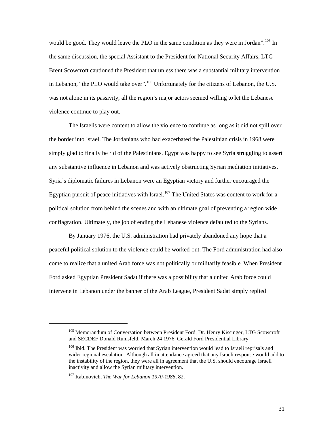would be good. They would leave the PLO in the same condition as they were in Jordan".<sup>[105](#page-36-0)</sup> In the same discussion, the special Assistant to the President for National Security Affairs, LTG Brent Scowcroft cautioned the President that unless there was a substantial military intervention in Lebanon, "the PLO would take over".<sup>[106](#page-36-1)</sup> Unfortunately for the citizens of Lebanon, the U.S. was not alone in its passivity; all the region's major actors seemed willing to let the Lebanese violence continue to play out.

The Israelis were content to allow the violence to continue as long as it did not spill over the border into Israel. The Jordanians who had exacerbated the Palestinian crisis in 1968 were simply glad to finally be rid of the Palestinians. Egypt was happy to see Syria struggling to assert any substantive influence in Lebanon and was actively obstructing Syrian mediation initiatives. Syria's diplomatic failures in Lebanon were an Egyptian victory and further encouraged the Egyptian pursuit of peace initiatives with Israel.<sup>[107](#page-36-2)</sup> The United States was content to work for a political solution from behind the scenes and with an ultimate goal of preventing a region wide conflagration. Ultimately, the job of ending the Lebanese violence defaulted to the Syrians.

By January 1976, the U.S. administration had privately abandoned any hope that a peaceful political solution to the violence could be worked-out. The Ford administration had also come to realize that a united Arab force was not politically or militarily feasible. When President Ford asked Egyptian President Sadat if there was a possibility that a united Arab force could intervene in Lebanon under the banner of the Arab League, President Sadat simply replied

<span id="page-36-0"></span><sup>&</sup>lt;sup>105</sup> Memorandum of Conversation between President Ford, Dr. Henry Kissinger, LTG Scowcroft and SECDEF Donald Rumsfeld. March 24 1976, Gerald Ford Presidential Library

<span id="page-36-1"></span><sup>&</sup>lt;sup>106</sup> Ibid. The President was worried that Syrian intervention would lead to Israeli reprisals and wider regional escalation. Although all in attendance agreed that any Israeli response would add to the instability of the region, they were all in agreement that the U.S. should encourage Israeli inactivity and allow the Syrian military intervention.

<span id="page-36-2"></span><sup>107</sup> Rabinovich, *The War for Lebanon 1970-1985*, 82.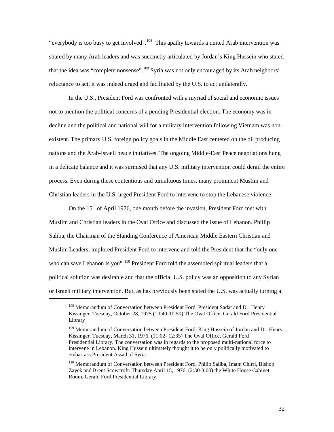"everybody is too busy to get involved".<sup>[108](#page-37-0)</sup> This apathy towards a united Arab intervention was shared by many Arab leaders and was succinctly articulated by Jordan's King Hussein who stated that the idea was "complete nonsense".<sup>[109](#page-37-1)</sup> Syria was not only encouraged by its Arab neighbors' reluctance to act, it was indeed urged and facilitated by the U.S. to act unilaterally.

In the U.S., President Ford was confronted with a myriad of social and economic issues not to mention the political concerns of a pending Presidential election. The economy was in decline and the political and national will for a military intervention following Vietnam was nonexistent. The primary U.S. foreign policy goals in the Middle East centered on the oil producing nations and the Arab-Israeli peace initiatives. The ongoing Middle-East Peace negotiations hung in a delicate balance and it was surmised that any U.S. military intervention could derail the entire process. Even during these contentious and tumultuous times, many prominent Muslim and Christian leaders in the U.S. urged President Ford to intervene to stop the Lebanese violence.

On the  $15<sup>th</sup>$  of April 1976, one month before the invasion, President Ford met with Muslim and Christian leaders in the Oval Office and discussed the issue of Lebanon. Phillip Saliba, the Chairman of the Standing Conference of American Middle Eastern Christian and Muslim Leaders, implored President Ford to intervene and told the President that the "only one who can save Lebanon is you".<sup>[110](#page-37-2)</sup> President Ford told the assembled spiritual leaders that a political solution was desirable and that the official U.S. policy was an opposition to any Syrian or Israeli military intervention. But, as has previously been stated the U.S. was actually turning a

<span id="page-37-0"></span><sup>&</sup>lt;sup>108</sup> Memorandum of Conversation between President Ford, President Sadat and Dr. Henry Kissinger. Tuesday, October 28, 1975 (10:40-10:50) The Oval Office, Gerald Ford Presidential Library

<span id="page-37-1"></span><sup>&</sup>lt;sup>109</sup> Memorandum of Conversation between President Ford, King Hussein of Jordan and Dr. Henry Kissinger. Tuesday, March 31, 1976. (11:02- 12:35) The Oval Office, Gerald Ford Presidential Library. The conversation was in regards to the proposed multi-national force to intervene in Lebanon. King Hussein ultimately thought it to be only politically motivated to embarrass President Assad of Syria.

<span id="page-37-2"></span><sup>&</sup>lt;sup>110</sup> Memorandum of Conversation between President Ford, Philip Saliba, Imam Chirri, Bishop Zayek and Brent Scowcroft. Thursday April 15, 1976. (2:30-3:00) the White House Cabinet Room, Gerald Ford Presidential Library.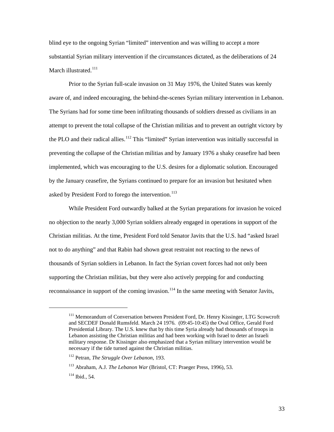blind eye to the ongoing Syrian "limited" intervention and was willing to accept a more substantial Syrian military intervention if the circumstances dictated, as the deliberations of 24 March illustrated.<sup>[111](#page-38-0)</sup>

Prior to the Syrian full-scale invasion on 31 May 1976, the United States was keenly aware of, and indeed encouraging, the behind-the-scenes Syrian military intervention in Lebanon. The Syrians had for some time been infiltrating thousands of soldiers dressed as civilians in an attempt to prevent the total collapse of the Christian militias and to prevent an outright victory by the PLO and their radical allies.<sup>[112](#page-38-1)</sup> This "limited" Syrian intervention was initially successful in preventing the collapse of the Christian militias and by January 1976 a shaky ceasefire had been implemented, which was encouraging to the U.S. desires for a diplomatic solution. Encouraged by the January ceasefire, the Syrians continued to prepare for an invasion but hesitated when asked by President Ford to forego the intervention.<sup>[113](#page-38-2)</sup>

While President Ford outwardly balked at the Syrian preparations for invasion he voiced no objection to the nearly 3,000 Syrian soldiers already engaged in operations in support of the Christian militias. At the time, President Ford told Senator Javits that the U.S. had "asked Israel not to do anything" and that Rabin had shown great restraint not reacting to the news of thousands of Syrian soldiers in Lebanon. In fact the Syrian covert forces had not only been supporting the Christian militias, but they were also actively prepping for and conducting reconnaissance in support of the coming invasion.<sup>[114](#page-38-3)</sup> In the same meeting with Senator Javits,

<span id="page-38-0"></span><sup>&</sup>lt;sup>111</sup> Memorandum of Conversation between President Ford, Dr. Henry Kissinger, LTG Scowcroft and SECDEF Donald Rumsfeld. March 24 1976. (09:45-10:45) the Oval Office, Gerald Ford Presidential Library. The U.S. knew that by this time Syria already had thousands of troops in Lebanon assisting the Christian militias and had been working with Israel to deter an Israeli military response. Dr Kissinger also emphasized that a Syrian military intervention would be necessary if the tide turned against the Christian militias.

<span id="page-38-1"></span><sup>112</sup> Petran, *The Struggle Over Lebanon*, 193.

<span id="page-38-2"></span><sup>113</sup> Abraham, A.J. *The Lebanon War* (Bristol, CT: Praeger Press, 1996), 53.

<span id="page-38-3"></span> $114$  Ibid., 54.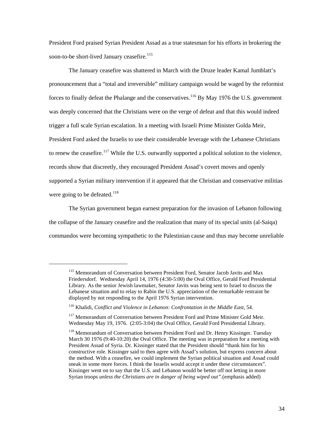President Ford praised Syrian President Assad as a true statesman for his efforts in brokering the soon-to-be short-lived January ceasefire.<sup>[115](#page-39-0)</sup>

The January ceasefire was shattered in March with the Druze leader Kamal Jumblatt's pronouncement that a "total and irreversible" military campaign would be waged by the reformist forces to finally defeat the Phalange and the conservatives.<sup>116</sup> By May 1976 the U.S. government was deeply concerned that the Christians were on the verge of defeat and that this would indeed trigger a full scale Syrian escalation. In a meeting with Israeli Prime Minister Golda Meir, President Ford asked the Israelis to use their considerable leverage with the Lebanese Christians to renew the ceasefire.<sup>117</sup> While the U.S. outwardly supported a political solution to the violence, records show that discreetly, they encouraged President Assad's covert moves and openly supported a Syrian military intervention if it appeared that the Christian and conservative militias were going to be defeated.<sup>[118](#page-39-3)</sup>

The Syrian government began earnest preparation for the invasion of Lebanon following the collapse of the January ceasefire and the realization that many of its special units (al-Saiqa) commandos were becoming sympathetic to the Palestinian cause and thus may become unreliable

<span id="page-39-0"></span><sup>&</sup>lt;sup>115</sup> Memorandum of Conversation between President Ford, Senator Jacob Javits and Max Friedersdorf. Wednesday April 14, 1976 (4:30-5:00) the Oval Office, Gerald Ford Presidential Library. As the senior Jewish lawmaker, Senator Javits was being sent to Israel to discuss the Lebanese situation and to relay to Rabin the U.S. appreciation of the remarkable restraint he displayed by not responding to the April 1976 Syrian intervention.

<span id="page-39-1"></span><sup>116</sup> Khalidi, *Conflict and Violence in Lebanon: Confrontation in the Middle East*, 54.

<span id="page-39-2"></span><sup>&</sup>lt;sup>117</sup> Memorandum of Conversation between President Ford and Prime Minister Gold Meir. Wednesday May 19, 1976. (2:05-3:04) the Oval Office, Gerald Ford Presidential Library.

<span id="page-39-3"></span><sup>&</sup>lt;sup>118</sup> Memorandum of Conversation between President Ford and Dr. Henry Kissinger. Tuesday March 30 1976 (9:40-10:20) the Oval Office. The meeting was in preparation for a meeting with President Assad of Syria. Dr. Kissinger stated that the President should "thank him for his constructive role. Kissinger said to then agree with Assad's solution, but express concern about the method. With a ceasefire, we could implement the Syrian political situation and Assad could sneak in some more forces. I think the Israelis would accept it under these circumstances". Kissinger went on to say that the U.S. and Lebanon would be better off not letting in more Syrian troops *unless the Christians are in danger of being wiped out".*(emphasis added)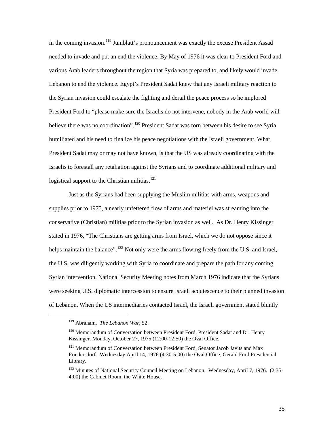in the coming invasion.<sup>[119](#page-40-0)</sup> Jumblatt's pronouncement was exactly the excuse President Assad needed to invade and put an end the violence. By May of 1976 it was clear to President Ford and various Arab leaders throughout the region that Syria was prepared to, and likely would invade Lebanon to end the violence. Egypt's President Sadat knew that any Israeli military reaction to the Syrian invasion could escalate the fighting and derail the peace process so he implored President Ford to "please make sure the Israelis do not intervene, nobody in the Arab world will believe there was no coordination".<sup>[120](#page-40-1)</sup> President Sadat was torn between his desire to see Syria humiliated and his need to finalize his peace negotiations with the Israeli government. What President Sadat may or may not have known, is that the US was already coordinating with the Israelis to forestall any retaliation against the Syrians and to coordinate additional military and logistical support to the Christian militias.<sup>[121](#page-40-2)</sup>

Just as the Syrians had been supplying the Muslim militias with arms, weapons and supplies prior to 1975, a nearly unfettered flow of arms and materiel was streaming into the conservative (Christian) militias prior to the Syrian invasion as well. As Dr. Henry Kissinger stated in 1976, "The Christians are getting arms from Israel, which we do not oppose since it helps maintain the balance".<sup>[122](#page-40-3)</sup> Not only were the arms flowing freely from the U.S. and Israel, the U.S. was diligently working with Syria to coordinate and prepare the path for any coming Syrian intervention. National Security Meeting notes from March 1976 indicate that the Syrians were seeking U.S. diplomatic intercession to ensure Israeli acquiescence to their planned invasion of Lebanon. When the US intermediaries contacted Israel, the Israeli government stated bluntly

<sup>119</sup> Abraham, *The Lebanon War*, 52.

<span id="page-40-1"></span><span id="page-40-0"></span><sup>&</sup>lt;sup>120</sup> Memorandum of Conversation between President Ford, President Sadat and Dr. Henry Kissinger. Monday, October 27, 1975 (12:00-12:50) the Oval Office.

<span id="page-40-2"></span><sup>&</sup>lt;sup>121</sup> Memorandum of Conversation between President Ford, Senator Jacob Javits and Max Friedersdorf. Wednesday April 14, 1976 (4:30-5:00) the Oval Office, Gerald Ford Presidential Library.

<span id="page-40-3"></span><sup>&</sup>lt;sup>122</sup> Minutes of National Security Council Meeting on Lebanon. Wednesday, April 7, 1976. (2:35-4:00) the Cabinet Room, the White House.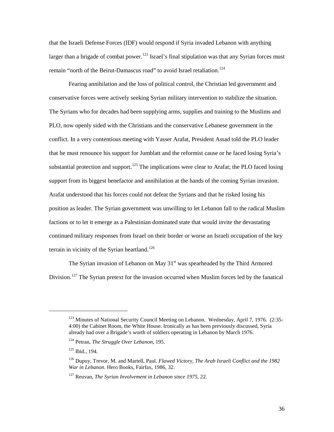that the Israeli Defense Forces (IDF) would respond if Syria invaded Lebanon with anything larger than a brigade of combat power.<sup>[123](#page-41-0)</sup> Israel's final stipulation was that any Syrian forces must remain "north of the Beirut-Damascus road" to avoid Israel retaliation.<sup>[124](#page-41-1)</sup>

Fearing annihilation and the loss of political control, the Christian led government and conservative forces were actively seeking Syrian military intervention to stabilize the situation. The Syrians who for decades had been supplying arms, supplies and training to the Muslims and PLO, now openly sided with the Christians and the conservative Lebanese government in the conflict. In a very contentious meeting with Yasser Arafat, President Assad told the PLO leader that he must renounce his support for Jumblatt and the reformist cause or he faced losing Syria's substantial protection and support.<sup>[125](#page-41-2)</sup> The implications were clear to Arafat; the PLO faced losing support from its biggest benefactor and annihilation at the hands of the coming Syrian invasion. Arafat understood that his forces could not defeat the Syrians and that he risked losing his position as leader. The Syrian government was unwilling to let Lebanon fall to the radical Muslim factions or to let it emerge as a Palestinian dominated state that would invite the devastating continued military responses from Israel on their border or worse an Israeli occupation of the key terrain in vicinity of the Syrian heartland.<sup>[126](#page-41-3)</sup>

The Syrian invasion of Lebanon on May  $31<sup>st</sup>$  was spearheaded by the Third Armored Division.<sup>[127](#page-41-4)</sup> The Syrian pretext for the invasion occurred when Muslim forces led by the fanatical

<span id="page-41-0"></span><sup>&</sup>lt;sup>123</sup> Minutes of National Security Council Meeting on Lebanon. Wednesday, April 7, 1976. (2:35-4:00) the Cabinet Room, the White House. Ironically as has been previously discussed, Syria already had over a Brigade's worth of soldiers operating in Lebanon by March 1976.

<span id="page-41-1"></span><sup>124</sup> Petran, *The Struggle Over Lebanon*, 195.

<span id="page-41-2"></span><sup>125</sup> Ibid., 194.

<span id="page-41-3"></span><sup>126</sup> Dupuy, Trevor, M. and Martell, Paul. *Flawed Victory, The Arab Israeli Conflict and the 1982 War in Lebanon.* Hero Books, Fairfax, 1986, 32.

<span id="page-41-4"></span><sup>127</sup> Reuvan, *The Syrian Involvement in Lebanon since 1975*, 22.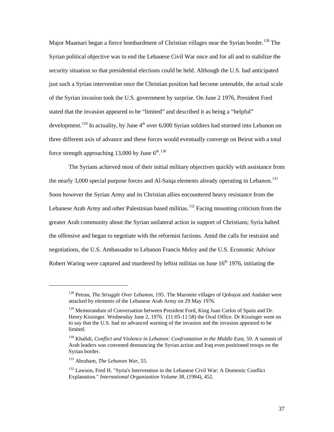Major Maamari began a fierce bombardment of Christian villages near the Syrian border.<sup>[128](#page-42-0)</sup> The Syrian political objective was to end the Lebanese Civil War once and for all and to stabilize the security situation so that presidential elections could be held. Although the U.S. had anticipated just such a Syrian intervention once the Christian position had become untenable, the actual scale of the Syrian invasion took the U.S. government by surprise. On June 2 1976, President Ford stated that the invasion appeared to be "limited" and described it as being a "helpful" development.<sup>[129](#page-42-1)</sup> In actuality, by June  $4<sup>th</sup>$  over 6,000 Syrian soldiers had stormed into Lebanon on three different axis of advance and these forces would eventually converge on Beirut with a total force strength approaching 13,000 by June  $6^{\text{th}}$ .<sup>[130](#page-42-2)</sup>

The Syrians achieved most of their initial military objectives quickly with assistance from the nearly 3,000 special purpose forces and Al-Saiqa elements already operating in Lebanon.<sup>[131](#page-42-3)</sup> Soon however the Syrian Army and its Christian allies encountered heavy resistance from the Lebanese Arab Army and other Palestinian based militias.<sup>[132](#page-42-4)</sup> Facing mounting criticism from the greater Arab community about the Syrian unilateral action in support of Christians; Syria halted the offensive and began to negotiate with the reformist factions. Amid the calls for restraint and negotiations, the U.S. Ambassador to Lebanon Francis Meloy and the U.S. Economic Advisor Robert Waring were captured and murdered by leftist militias on June  $16<sup>th</sup> 1976$ , initiating the

<span id="page-42-0"></span><sup>128</sup> Petran, *The Struggle Over Lebanon*, 195. The Maronite villages of Qobayat and Andaket were attacked by elements of the Lebanese Arab Army on 29 May 1976.

<span id="page-42-1"></span> $129$  Memorandum of Conversation between President Ford, King Juan Carlos of Spain and Dr. Henry Kissinger. Wednesday June 2, 1976. (11:05-11:58) the Oval Office. Dr Kissinger went on to say that the U.S. had no advanced warning of the invasion and the invasion appeared to be limited.

<span id="page-42-2"></span><sup>130</sup> Khalidi, *Conflict and Violence in Lebanon: Confrontation in the Middle Ea*st, 59. A summit of Arab leaders was convened denouncing the Syrian action and Iraq even positioned troops on the Syrian border.

<span id="page-42-3"></span><sup>131</sup> Abraham, *The Lebanon War*, 55.

<span id="page-42-4"></span><sup>&</sup>lt;sup>132</sup> Lawson, Fred H. "Syria's Intervention in the Lebanese Civil War: A Domestic Conflict Explanation." *International Organization Volume 38*, (1984), 452.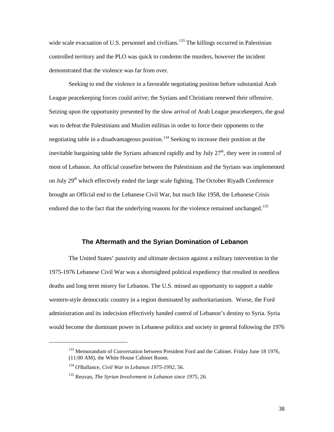wide scale evacuation of U.S. personnel and civilians.<sup>[133](#page-43-0)</sup> The killings occurred in Palestinian controlled territory and the PLO was quick to condemn the murders, however the incident demonstrated that the violence was far from over.

Seeking to end the violence in a favorable negotiating position before substantial Arab League peacekeeping forces could arrive; the Syrians and Christians renewed their offensive. Seizing upon the opportunity presented by the slow arrival of Arab League peacekeepers, the goal was to defeat the Palestinians and Muslim militias in order to force their opponents to the negotiating table in a disadvantageous position.<sup>[134](#page-43-1)</sup> Seeking to increase their position at the inevitable bargaining table the Syrians advanced rapidly and by July  $27<sup>th</sup>$ , they were in control of most of Lebanon. An official ceasefire between the Palestinians and the Syrians was implemented on July 29<sup>th</sup> which effectively ended the large scale fighting. The October Riyadh Conference brought an Official end to the Lebanese Civil War, but much like 1958, the Lebanese Crisis endured due to the fact that the underlying reasons for the violence remained unchanged.<sup>[135](#page-43-2)</sup>

#### **The Aftermath and the Syrian Domination of Lebanon**

The United States' passivity and ultimate decision against a military intervention in the 1975-1976 Lebanese Civil War was a shortsighted political expediency that resulted in needless deaths and long term misery for Lebanon. The U.S. missed an opportunity to support a stable western-style democratic country in a region dominated by authoritarianism. Worse, the Ford administration and its indecision effectively handed control of Lebanon's destiny to Syria. Syria would become the dominant power in Lebanese politics and society in general following the 1976

<sup>&</sup>lt;sup>133</sup> Memorandum of Conversation between President Ford and the Cabinet. Friday June 18 1976,

<span id="page-43-1"></span><span id="page-43-0"></span><sup>(11:00</sup> AM), the White House Cabinet Room.

<sup>134</sup> O'Ballance, *Civil War in Lebanon 1975-1992*, 56.

<span id="page-43-2"></span><sup>135</sup> Reuvan, *The Syrian Involvement in Lebanon since 1975*, 26.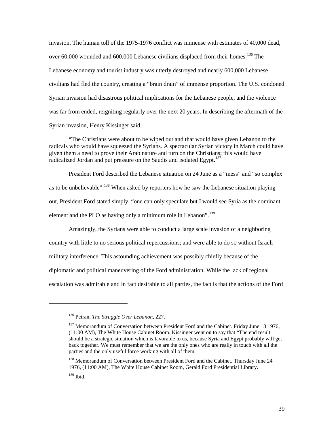invasion. The human toll of the 1975-1976 conflict was immense with estimates of 40,000 dead, over 60,000 wounded and 600,000 Lebanese civilians displaced from their homes.<sup>[136](#page-44-0)</sup> The Lebanese economy and tourist industry was utterly destroyed and nearly 600,000 Lebanese civilians had fled the country, creating a "brain drain" of immense proportion. The U.S. condoned Syrian invasion had disastrous political implications for the Lebanese people, and the violence was far from ended, reigniting regularly over the next 20 years. In describing the aftermath of the Syrian invasion, Henry Kissinger said,

"The Christians were about to be wiped out and that would have given Lebanon to the radicals who would have squeezed the Syrians. A spectacular Syrian victory in March could have given them a need to prove their Arab nature and turn on the Christians; this would have radicalized Jordan and put pressure on the Saudis and isolated Egypt.<sup>137</sup>

President Ford described the Lebanese situation on 24 June as a "mess" and "so complex as to be unbelievable".<sup>[138](#page-44-2)</sup> When asked by reporters how he saw the Lebanese situation playing out, President Ford stated simply, "one can only speculate but I would see Syria as the dominant element and the PLO as having only a minimum role in Lebanon".<sup>[139](#page-44-3)</sup>

Amazingly, the Syrians were able to conduct a large scale invasion of a neighboring country with little to no serious political repercussions; and were able to do so without Israeli military interference. This astounding achievement was possibly chiefly because of the diplomatic and political maneuvering of the Ford administration. While the lack of regional escalation was admirable and in fact desirable to all parties, the fact is that the actions of the Ford

<span id="page-44-0"></span><sup>136</sup> Petran, *The Struggle Over Lebanon*, 227.

<span id="page-44-1"></span><sup>&</sup>lt;sup>137</sup> Memorandum of Conversation between President Ford and the Cabinet. Friday June 18 1976, (11:00 AM), The White House Cabinet Room. Kissinger went on to say that "The end result should be a strategic situation which is favorable to us, because Syria and Egypt probably will get back together. We must remember that we are the only ones who are really in touch with all the parties and the only useful force working with all of them.

<span id="page-44-3"></span><span id="page-44-2"></span><sup>&</sup>lt;sup>138</sup> Memorandum of Conversation between President Ford and the Cabinet. Thursday June 24 1976, (11:00 AM), The White House Cabinet Room, Gerald Ford Presidential Library.  $139$  Ibid.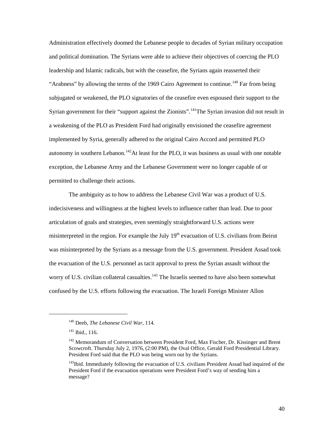Administration effectively doomed the Lebanese people to decades of Syrian military occupation and political domination. The Syrians were able to achieve their objectives of coercing the PLO leadership and Islamic radicals, but with the ceasefire, the Syrians again reasserted their "Arabness" by allowing the terms of the 1969 Cairo Agreement to continue.<sup>[140](#page-45-0)</sup> Far from being subjugated or weakened, the PLO signatories of the ceasefire even espoused their support to the Syrian government for their "support against the Zionists".<sup>[141](#page-45-1)</sup>The Syrian invasion did not result in a weakening of the PLO as President Ford had originally envisioned the ceasefire agreement implemented by Syria, generally adhered to the original Cairo Accord and permitted PLO autonomy in southern Lebanon.<sup>[142](#page-45-2)</sup>At least for the PLO, it was business as usual with one notable exception, the Lebanese Army and the Lebanese Government were no longer capable of or permitted to challenge their actions.

The ambiguity as to how to address the Lebanese Civil War was a product of U.S. indecisiveness and willingness at the highest levels to influence rather than lead. Due to poor articulation of goals and strategies, even seemingly straightforward U.S. actions were misinterpreted in the region. For example the July  $19<sup>th</sup>$  evacuation of U.S. civilians from Beirut was misinterpreted by the Syrians as a message from the U.S. government. President Assad took the evacuation of the U.S. personnel as tacit approval to press the Syrian assault without the worry of U.S. civilian collateral casualties.<sup>[143](#page-45-3)</sup> The Israelis seemed to have also been somewhat confused by the U.S. efforts following the evacuation. The Israeli Foreign Minister Allon

<span id="page-45-0"></span><sup>140</sup> Deeb, *The Lebanese Civil War*, 114.

<span id="page-45-1"></span> $141$  Ibid., 116.

<span id="page-45-2"></span><sup>&</sup>lt;sup>142</sup> Memorandum of Conversation between President Ford, Max Fischer, Dr. Kissinger and Brent Scowcroft. Thursday July 2, 1976, (2:00 PM), the Oval Office, Gerald Ford Presidential Library. President Ford said that the PLO was being worn out by the Syrians.

<span id="page-45-3"></span><sup>&</sup>lt;sup>143</sup>Ibid. Immediately following the evacuation of U.S. civilians President Assad had inquired of the President Ford if the evacuation operations were President Ford's way of sending him a message?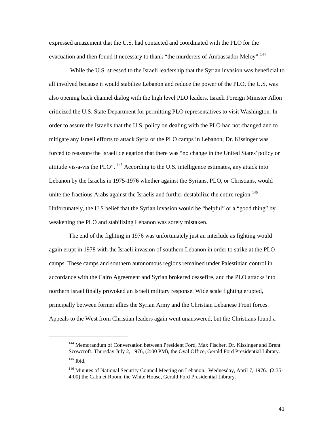expressed amazement that the U.S. had contacted and coordinated with the PLO for the evacuation and then found it necessary to thank "the murderers of Ambassador Meloy".<sup>[144](#page-46-0)</sup>

While the U.S. stressed to the Israeli leadership that the Syrian invasion was beneficial to all involved because it would stabilize Lebanon and reduce the power of the PLO, the U.S. was also opening back channel dialog with the high level PLO leaders. Israeli Foreign Minister Allon criticized the U.S. State Department for permitting PLO representatives to visit Washington. In order to assure the Israelis that the U.S. policy on dealing with the PLO had not changed and to mitigate any Israeli efforts to attack Syria or the PLO camps in Lebanon, Dr. Kissinger was forced to reassure the Israeli delegation that there was "no change in the United States' policy or attitude vis-a-vis the PLO".  $^{145}$  According to the U.S. intelligence estimates, any attack into Lebanon by the Israelis in 1975-1976 whether against the Syrians, PLO, or Christians, would unite the fractious Arabs against the Israelis and further destabilize the entire region.<sup>[146](#page-46-2)</sup> Unfortunately, the U.S belief that the Syrian invasion would be "helpful" or a "good thing" by weakening the PLO and stabilizing Lebanon was sorely mistaken.

The end of the fighting in 1976 was unfortunately just an interlude as fighting would again erupt in 1978 with the Israeli invasion of southern Lebanon in order to strike at the PLO camps. These camps and southern autonomous regions remained under Palestinian control in accordance with the Cairo Agreement and Syrian brokered ceasefire, and the PLO attacks into northern Israel finally provoked an Israeli military response. Wide scale fighting erupted, principally between former allies the Syrian Army and the Christian Lebanese Front forces. Appeals to the West from Christian leaders again went unanswered, but the Christians found a

<span id="page-46-0"></span><sup>&</sup>lt;sup>144</sup> Memorandum of Conversation between President Ford, Max Fischer, Dr. Kissinger and Brent Scowcroft. Thursday July 2, 1976, (2:00 PM), the Oval Office, Gerald Ford Presidential Library. <sup>145</sup> Ibid.

<span id="page-46-2"></span><span id="page-46-1"></span><sup>146</sup> Minutes of National Security Council Meeting on Lebanon. Wednesday, April 7, 1976. (2:35- 4:00) the Cabinet Room, the White House, Gerald Ford Presidential Library.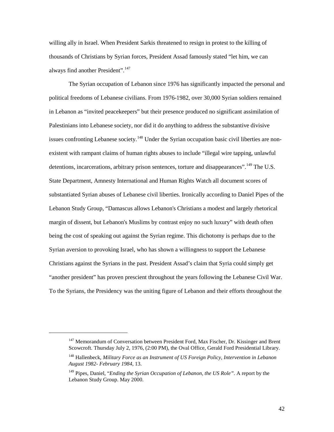willing ally in Israel. When President Sarkis threatened to resign in protest to the killing of thousands of Christians by Syrian forces, President Assad famously stated "let him, we can always find another President".<sup>[147](#page-47-0)</sup>

The Syrian occupation of Lebanon since 1976 has significantly impacted the personal and political freedoms of Lebanese civilians. From 1976-1982, over 30,000 Syrian soldiers remained in Lebanon as "invited peacekeepers" but their presence produced no significant assimilation of Palestinians into Lebanese society, nor did it do anything to address the substantive divisive issues confronting Lebanese society.<sup>[148](#page-47-1)</sup> Under the Syrian occupation basic civil liberties are nonexistent with rampant claims of human rights abuses to include "illegal wire tapping, unlawful detentions, incarcerations, arbitrary prison sentences, torture and disappearances". <sup>[149](#page-47-2)</sup> The U.S. State Department, Amnesty International and Human Rights Watch all document scores of substantiated Syrian abuses of Lebanese civil liberties. Ironically according to Daniel Pipes of the Lebanon Study Group, "Damascus allows Lebanon's Christians a modest and largely rhetorical margin of dissent, but Lebanon's Muslims by contrast enjoy no such luxury" with death often being the cost of speaking out against the Syrian regime. This dichotomy is perhaps due to the Syrian aversion to provoking Israel, who has shown a willingness to support the Lebanese Christians against the Syrians in the past. President Assad's claim that Syria could simply get "another president" has proven prescient throughout the years following the Lebanese Civil War. To the Syrians, the Presidency was the uniting figure of Lebanon and their efforts throughout the

<span id="page-47-0"></span><sup>&</sup>lt;sup>147</sup> Memorandum of Conversation between President Ford, Max Fischer, Dr. Kissinger and Brent Scowcroft. Thursday July 2, 1976, (2:00 PM), the Oval Office, Gerald Ford Presidential Library.

<span id="page-47-1"></span><sup>148</sup> Hallenbeck, *Military Force as an Instrument of US Foreign Policy, Intervention in Lebanon August 1982- February 1984*, 13.

<span id="page-47-2"></span><sup>149</sup> Pipes, Daniel, "*Ending the Syrian Occupation of Lebanon, the US Role"*. A report by the Lebanon Study Group. May 2000.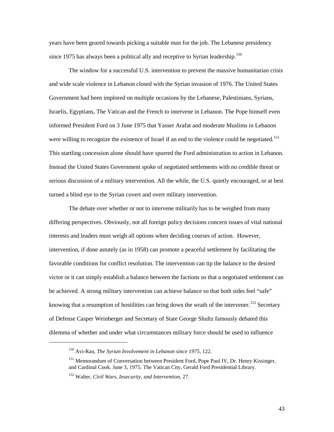years have been geared towards picking a suitable man for the job. The Lebanese presidency since 1975 has always been a political ally and receptive to Syrian leadership.<sup>[150](#page-48-0)</sup>

The window for a successful U.S. intervention to prevent the massive humanitarian crisis and wide scale violence in Lebanon closed with the Syrian invasion of 1976. The United States Government had been implored on multiple occasions by the Lebanese, Palestinians, Syrians, Israelis, Egyptians, The Vatican and the French to intervene in Lebanon. The Pope himself even informed President Ford on 3 June 1975 that Yasser Arafat and moderate Muslims in Lebanon were willing to recognize the existence of Israel if an end to the violence could be negotiated.<sup>[151](#page-48-1)</sup> This startling concession alone should have spurred the Ford administration to action in Lebanon. Instead the United States Government spoke of negotiated settlements with no credible threat or serious discussion of a military intervention. All the while, the U.S. quietly encouraged, or at best turned a blind eye to the Syrian covert and overt military intervention.

The debate over whether or not to intervene militarily has to be weighed from many differing perspectives. Obviously, not all foreign policy decisions concern issues of vital national interests and leaders must weigh all options when deciding courses of action. However, intervention, if done astutely (as in 1958) can promote a peaceful settlement by facilitating the favorable conditions for conflict resolution. The intervention can tip the balance to the desired victor or it can simply establish a balance between the factions so that a negotiated settlement can be achieved. A strong military intervention can achieve balance so that both sides feel "safe" knowing that a resumption of hostilities can bring down the wrath of the intervener.<sup>[152](#page-48-2)</sup> Secretary of Defense Casper Weinberger and Secretary of State George Shultz famously debated this dilemma of whether and under what circumstances military force should be used to influence

<span id="page-48-0"></span><sup>150</sup> Avi-Ran, *The Syrian Involvement in Lebanon since 1975*, 122.

<span id="page-48-1"></span><sup>&</sup>lt;sup>151</sup> Memorandum of Conversation between President Ford, Pope Paul IV, Dr. Henry Kissinger, and Cardinal Cook. June 3, 1975. The Vatican City, Gerald Ford Presidential Library.

<span id="page-48-2"></span><sup>152</sup> Walter, *Civil Wars, Insecurity, and Intervention*, 27.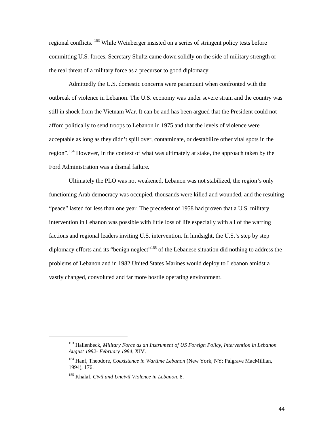regional conflicts. <sup>[153](#page-49-0)</sup> While Weinberger insisted on a series of stringent policy tests before committing U.S. forces, Secretary Shultz came down solidly on the side of military strength or the real threat of a military force as a precursor to good diplomacy.

Admittedly the U.S. domestic concerns were paramount when confronted with the outbreak of violence in Lebanon. The U.S. economy was under severe strain and the country was still in shock from the Vietnam War. It can be and has been argued that the President could not afford politically to send troops to Lebanon in 1975 and that the levels of violence were acceptable as long as they didn't spill over, contaminate, or destabilize other vital spots in the region".<sup>[154](#page-49-1)</sup> However, in the context of what was ultimately at stake, the approach taken by the Ford Administration was a dismal failure.

Ultimately the PLO was not weakened, Lebanon was not stabilized, the region's only functioning Arab democracy was occupied, thousands were killed and wounded, and the resulting "peace" lasted for less than one year. The precedent of 1958 had proven that a U.S. military intervention in Lebanon was possible with little loss of life especially with all of the warring factions and regional leaders inviting U.S. intervention. In hindsight, the U.S.'s step by step diplomacy efforts and its "benign neglect"<sup>155</sup> of the Lebanese situation did nothing to address the problems of Lebanon and in 1982 United States Marines would deploy to Lebanon amidst a vastly changed, convoluted and far more hostile operating environment.

<span id="page-49-0"></span><sup>153</sup> Hallenbeck, *Military Force as an Instrument of US Foreign Policy, Intervention in Lebanon August 1982- February 1984*, XIV.

<span id="page-49-1"></span><sup>154</sup> Hanf, Theodore, *Coexistence in Wartime Lebanon* (New York, NY: Palgrave MacMillian, 1994), 176.

<span id="page-49-2"></span><sup>155</sup> Khalaf, *Civil and Uncivil Violence in Lebanon*, 8.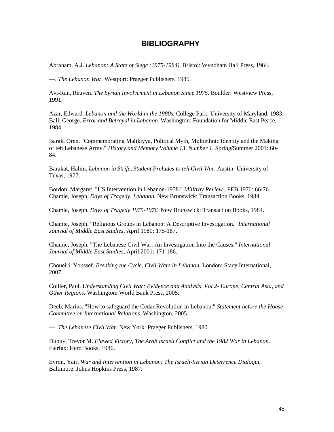#### **BIBLIOGRAPHY**

Abraham, A.J. *Lebanon: A State of Siege (1975-1984).* Bristol: Wyndham Hall Press, 1984.

—. *The Lebanon War.* Westport: Praeger Publishers, 1985.

Avi-Ran, Reuven. *The Syrian Involvement in Lebanon Since 1975.* Boulder: Westview Press, 1991.

Azar, Edward. *Lebanon and the World in the 1980s.* College Park: University of Maryland, 1983. Ball, George. *Error and Betrayal in Lebanon.* Washington: Foundation for Middle East Peace, 1984.

Barak, Oren. "Commemorating Malikiyya, Political Myth, Multiethnic Identity and the Making of teh Lebanese Army." *History and Memory Volume 13, Number 1*, Spring/Summer 2001: 60- 84.

Barakat, Halim. *Lebanon in Strife, Student Preludes to teh Civil War.* Austin: University of Texas, 1977.

Bordon, Margaret. "US Intervention in Lebanon-1958." *Militray Review* , FEB 1976: 66-76. Chamie, Joseph. *Days of Tragedy, Lebanon.* New Brunswick: Transaction Books, 1984.

Chamie, Joseph. *Days of Tragedy 1975-1976* New Brunswick: Transaction Books, 1984.

Chamie, Joseph. "Religious Groups in Lebanon: A Descriptive Investigation." *International Journal of Middle East Studies*, April 1980: 175-187.

Chamie, Joseph. "The Lebanese Civil War: An Investigation Into the Causes." *International Journal of Middle East Studies*, April 2001: 171-186.

Choueiri, Youssef. *Breaking the Cycle, Civil Wars in Lebanon.* London: Stacy International, 2007.

Collier, Paul. *Understanding Civil War: Evidence and Analysis, Vol 2- Europe, Central Asia, and Other Regions.* Washington: World Bank Press, 2005.

Deeb, Marius. "How to safeguard the Cedar Revolution in Lebanon." *Statement before the House Committee on International Relations.* Washington, 2005.

—. *The Lebanese Civil War.* New York: Praeger Publishers, 1980.

Dupuy, Trevor M. *Flawed Victory, The Arab Israeli Conflict and the 1982 War in Lebanon.* Fairfax: Hero Books, 1986.

Evron, Yair. *War and Intervention in Lebanon: The Israeli-Syrian Deterrence Dialogue.* Baltimore: Johns Hopkins Press, 1987.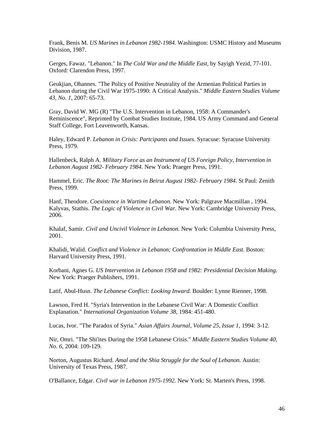Frank, Benis M. *US Marines in Lebanon 1982-1984.* Washington: USMC History and Museums Division, 1987.

Gerges, Fawaz. "Lebanon." In *The Cold War and the Middle East*, by Sayigh Yezid, 77-101. Oxford: Clarendon Press, 1997.

Geukjian, Ohannes. "The Policy of Positive Neutrality of the Armenian Political Parties in Lebanon during the Civil War 1975-1990: A Critical Analysis." *Middle Eastern Studies Volume 43, No. 1*, 2007: 65-73.

Gray, David W. MG (R) "The U.S. Intervention in Lebanon, 1958: A Commander's Reminiscence", Reprinted by Combat Studies Institute, 1984. US Army Command and General Staff College, Fort Leavenworth, Kansas.

Haley, Edward P. *Lebanon in Crisis: Partcipants and Issues.* Syracuse: Syracuse University Press, 1979.

Hallenbeck, Ralph A. *Military Force as an Instrument of US Foreign Policy, Intervention in Lebanon August 1982- February 1984.* New York: Praeger Press, 1991.

Hammel, Eric. *The Root: The Marines in Beirut August 1982- February 1984.* St Paul: Zenith Press, 1999.

Hanf, Theodore. *Coexistence in Wartime Lebanon.* New York: Palgrave Macmillan , 1994. Kalyvas, Stathis. *The Logic of Violence in Civil War.* New York: Cambridge University Press, 2006.

Khalaf, Samir. *Civil and Uncivil Violence in Lebanon.* New York: Columbia University Press, 2001.

Khalidi, Walid. *Conflict and Violence in Lebanon; Confrontation in Middle East.* Boston: Harvard University Press, 1991.

Korbani, Agnes G. *US Intervention in Lebanon 1958 and 1982: Presidential Decision Making.* New York: Praeger Publishers, 1991.

Latif, Abul-Husn. *The Lebanese Conflict: Looking Inward.* Boulder: Lynne Rienner, 1998.

Lawson, Fred H. "Syria's Intervention in the Lebanese Civil War: A Domestic Conflict Explanation." *International Organization Volume 38*, 1984: 451-480.

Lucas, Ivor. "The Paradox of Syria." *Asian Affairs Journal, Volume 25, Issue 1*, 1994: 3-12.

Nir, Omri. "The Shi'ites During the 1958 Lebanese Crisis." *Middle Eastern Studies Volume 40, No. 6*, 2004: 109-129.

Norton, Augustus Richard. *Amal and the Shia Struggle for the Soul of Lebanon.* Austin: University of Texas Press, 1987.

O'Ballance, Edgar. *Civil war in Lebanon 1975-1992.* New York: St. Marten's Press, 1998.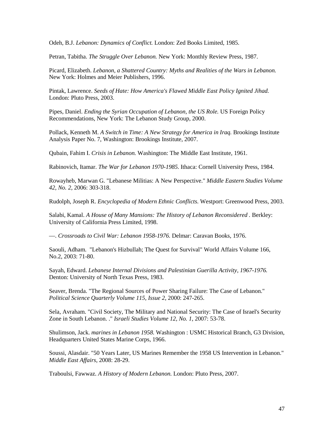Odeh, B.J. *Lebanon: Dynamics of Conflict.* London: Zed Books Limited, 1985.

Petran, Tabitha. *The Struggle Over Lebanon.* New York: Monthly Review Press, 1987.

Picard, Elizabeth. *Lebanon, a Shattered Country: Myths and Realities of the Wars in Lebanon.* New York: Holmes and Meier Publishers, 1996.

Pintak, Lawrence. *Seeds of Hate: How America's Flawed Middle East Policy Ignited Jihad.* London: Pluto Press, 2003.

Pipes, Daniel. *Ending the Syrian Occupation of Lebanon, the US Role.* US Foreign Policy Recommendations, New York: The Lebanon Study Group, 2000.

Pollack, Kenneth M. *A Switch in Time: A New Strategy for America in Iraq.* Brookings Institute Analysis Paper No. 7, Washington: Brookings Institute, 2007.

Qubain, Fahim I. *Crisis in Lebanon.* Washington: The Middle East Institute, 1961.

Rabinovich, Itamar. *The War for Lebanon 1970-1985.* Ithaca: Cornell University Press, 1984.

Rowayheb, Marwan G. "Lebanese Militias: A New Perspective." *Middle Eastern Studies Volume 42, No. 2*, 2006: 303-318.

Rudolph, Joseph R. *Encyclopedia of Modern Ethnic Conflicts.* Westport: Greenwood Press, 2003.

Salabi, Kamal. *A House of Many Mansions: The History of Lebanon Reconsidered .* Berkley: University of California Press Limited, 1998.

—. *Crossroads to Civil War: Lebanon 1958-1976.* Delmar: Caravan Books, 1976.

Saouli, Adham. "Lebanon's Hizbullah; The Quest for Survival" World Affairs Volume 166, No.2, 2003: 71-80.

Sayah, Edward. *Lebanese Internal Divisions and Palestinian Guerilla Activity, 1967-1976.* Denton: University of North Texas Press, 1983.

Seaver, Brenda. "The Regional Sources of Power Sharing Failure: The Case of Lebanon." *Political Science Quarterly Volume 115, Issue 2*, 2000: 247-265.

Sela, Avraham. "Civil Society, The Military and National Security: The Case of Israel's Security Zone in South Lebanon. ." *Israeli Studies Volume 12, No. 1*, 2007: 53-78.

Shulimson, Jack. *marines in Lebanon 1958.* Washington : USMC Historical Branch, G3 Division, Headquarters United States Marine Corps, 1966.

Soussi, Alasdair. "50 Years Later, US Marines Remember the 1958 US Intervention in Lebanon." *Middle East Affairs*, 2008: 28-29.

Traboulsi, Fawwaz. *A History of Modern Lebanon.* London: Pluto Press, 2007.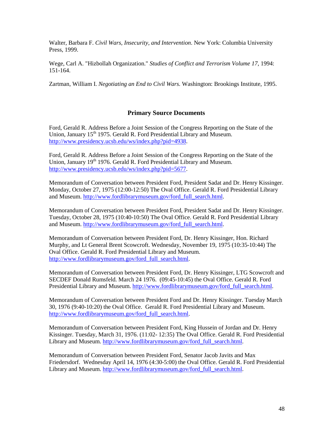Walter, Barbara F. *Civil Wars, Insecurity, and Intervention*. New York: Columbia University Press, 1999.

Wege, Carl A. "Hizbollah Organization." *Studies of Conflict and Terrorism Volume 17*, 1994: 151-164.

Zartman, William I. *Negotiating an End to Civil Wars.* Washington: Brookings Institute, 1995.

#### **Primary Source Documents**

Ford, Gerald R. Address Before a Joint Session of the Congress Reporting on the State of the Union, January  $15<sup>th</sup> 1975$ . Gerald R. Ford Presidential Library and Museum. [http://www.presidency.ucsb.edu/ws/index.php?pid=4938.](http://www.presidency.ucsb.edu/ws/index.php?pid=4938)

Ford, Gerald R. Address Before a Joint Session of the Congress Reporting on the State of the Union, January 19<sup>th</sup> 1976. Gerald R. Ford Presidential Library and Museum. [http://www.presidency.ucsb.edu/ws/index.php?pid=5677.](http://www.presidency.ucsb.edu/ws/index.php?pid=5677)

Memorandum of Conversation between President Ford, President Sadat and Dr. Henry Kissinger. Monday, October 27, 1975 (12:00-12:50) The Oval Office. Gerald R. Ford Presidential Library and Museum. [http://www.fordlibrarymuseum.gov/ford\\_full\\_search.html.](http://www.fordlibrarymuseum.gov/ford_full_search.html)

Memorandum of Conversation between President Ford, President Sadat and Dr. Henry Kissinger. Tuesday, October 28, 1975 (10:40-10:50) The Oval Office. Gerald R. Ford Presidential Library and Museum. [http://www.fordlibrarymuseum.gov/ford\\_full\\_search.html.](http://www.fordlibrarymuseum.gov/ford_full_search.html)

Memorandum of Conversation between President Ford, Dr. Henry Kissinger, Hon. Richard Murphy, and Lt General Brent Scowcroft. Wednesday, November 19, 1975 (10:35-10:44) The Oval Office. Gerald R. Ford Presidential Library and Museum. [http://www.fordlibrarymuseum.gov/ford\\_full\\_search.html.](http://www.fordlibrarymuseum.gov/ford_full_search.html)

Memorandum of Conversation between President Ford, Dr. Henry Kissinger, LTG Scowcroft and SECDEF Donald Rumsfeld. March 24 1976. (09:45-10:45) the Oval Office. Gerald R. Ford Presidential Library and Museum. [http://www.fordlibrarymuseum.gov/ford\\_full\\_search.html.](http://www.fordlibrarymuseum.gov/ford_full_search.html)

Memorandum of Conversation between President Ford and Dr. Henry Kissinger. Tuesday March 30, 1976 (9:40-10:20) the Oval Office. Gerald R. Ford Presidential Library and Museum. [http://www.fordlibrarymuseum.gov/ford\\_full\\_search.html.](http://www.fordlibrarymuseum.gov/ford_full_search.html)

Memorandum of Conversation between President Ford, King Hussein of Jordan and Dr. Henry Kissinger. Tuesday, March 31, 1976. (11:02- 12:35) The Oval Office. Gerald R. Ford Presidential Library and Museum. [http://www.fordlibrarymuseum.gov/ford\\_full\\_search.html.](http://www.fordlibrarymuseum.gov/ford_full_search.html)

Memorandum of Conversation between President Ford, Senator Jacob Javits and Max Friedersdorf. Wednesday April 14, 1976 (4:30-5:00) the Oval Office. Gerald R. Ford Presidential Library and Museum. [http://www.fordlibrarymuseum.gov/ford\\_full\\_search.html.](http://www.fordlibrarymuseum.gov/ford_full_search.html)